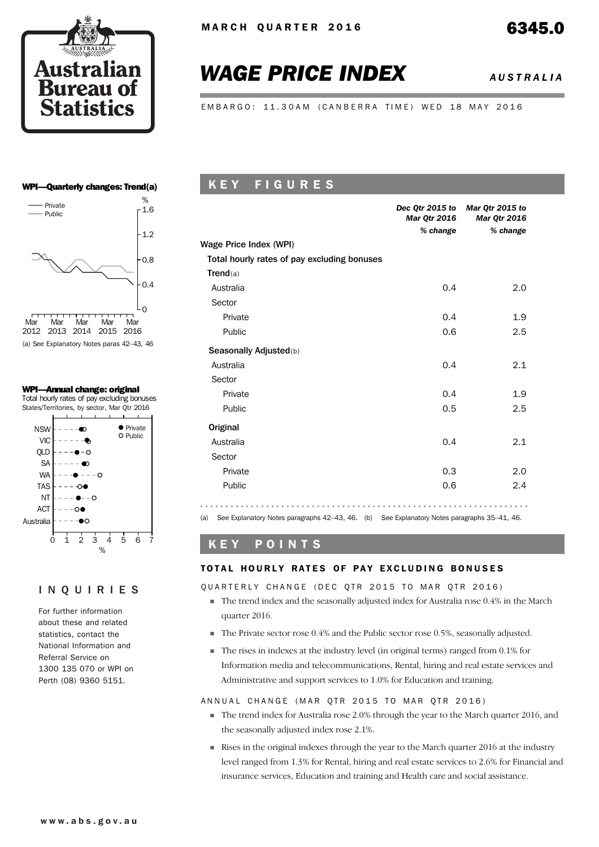

# *WAGE PRICE INDEX AUSTRALIA*

EMBARGO: 11.30AM (CANBERRA TIME) WED 18 MAY 2016

#### WPI—Quarterly changes: Trend(a)



(a) See Explanatory Notes paras 42–43, 46

#### WPI—Annual change: original

Total hourly rates of pay excluding bonuses States/Territories, by sector, Mar Qtr 2016



### INQUIRIES

For further information about these and related statistics, contact the National Information and Referral Service on 1300 135 070 or WPI on Perth (08) 9360 5151.

# K E Y F I G U R E S

|                                             | <b>Mar Qtr 2016</b> | Dec Qtr 2015 to Mar Qtr 2015 to<br><b>Mar Qtr 2016</b> |
|---------------------------------------------|---------------------|--------------------------------------------------------|
|                                             | % change            | % change                                               |
| Wage Price Index (WPI)                      |                     |                                                        |
| Total hourly rates of pay excluding bonuses |                     |                                                        |
| Trend(a)                                    |                     |                                                        |
| Australia                                   | 0.4                 | 2.0                                                    |
| Sector                                      |                     |                                                        |
| Private                                     | 0.4                 | 1.9                                                    |
| Public                                      | 0.6                 | 2.5                                                    |
| Seasonally Adjusted(b)                      |                     |                                                        |
| Australia                                   | 0.4                 | 2.1                                                    |
| Sector                                      |                     |                                                        |
| Private                                     | 0.4                 | 1.9                                                    |
| Public                                      | 0.5                 | 2.5                                                    |
| Original                                    |                     |                                                        |
| Australia                                   | 0.4                 | 2.1                                                    |
| Sector                                      |                     |                                                        |
| Private                                     | 0.3                 | 2.0                                                    |
| Public                                      | 0.6                 | 2.4                                                    |
|                                             |                     |                                                        |

(a) See Explanatory Notes paragraphs 42–43, 46. (b) See Explanatory Notes paragraphs 35–41, 46.

# K E Y P O I N T S

### TOTAL HOURLY RATES OF PAY EXCLUDING BONUSES

#### QUARTERLY CHANGE (DEC QTR 2015 TO MAR QTR 2016)

- $\blacksquare$  The trend index and the seasonally adjusted index for Australia rose 0.4% in the March quarter 2016.
- The Private sector rose 0.4% and the Public sector rose 0.5%, seasonally adjusted.
- The rises in indexes at the industry level (in original terms) ranged from 0.1% for Information media and telecommunications, Rental, hiring and real estate services and Administrative and support services to 1.0% for Education and training.

#### ANNUAL CHANGE (MAR OTR 2015 TO MAR OTR 2016)

- The trend index for Australia rose 2.0% through the year to the March quarter 2016, and the seasonally adjusted index rose 2.1%.
- Rises in the original indexes through the year to the March quarter 2016 at the industry level ranged from 1.3% for Rental, hiring and real estate services to 2.6% for Financial and insurance services, Education and training and Health care and social assistance.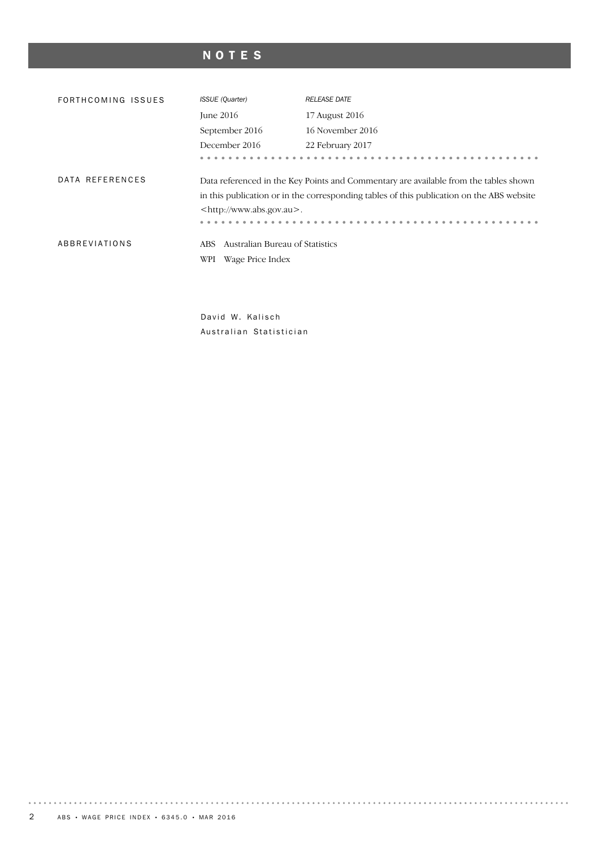# NOTES

| FORTHCOMING ISSUES | <b>ISSUE</b> (Quarter)                                             | <b>RELEASE DATE</b>                                                                                                                                                               |
|--------------------|--------------------------------------------------------------------|-----------------------------------------------------------------------------------------------------------------------------------------------------------------------------------|
|                    | <b>June 2016</b>                                                   | 17 August 2016                                                                                                                                                                    |
|                    | September 2016                                                     | 16 November 2016                                                                                                                                                                  |
|                    | December 2016                                                      | 22 February 2017                                                                                                                                                                  |
|                    |                                                                    |                                                                                                                                                                                   |
| DATA REFERENCES    | <http: www.abs.gov.au="">.</http:>                                 | Data referenced in the Key Points and Commentary are available from the tables shown<br>in this publication or in the corresponding tables of this publication on the ABS website |
| ABBREVIATIONS      | Australian Bureau of Statistics<br>ABS.<br>Wage Price Index<br>WPI |                                                                                                                                                                                   |

David W. Kalisch Australian Statistician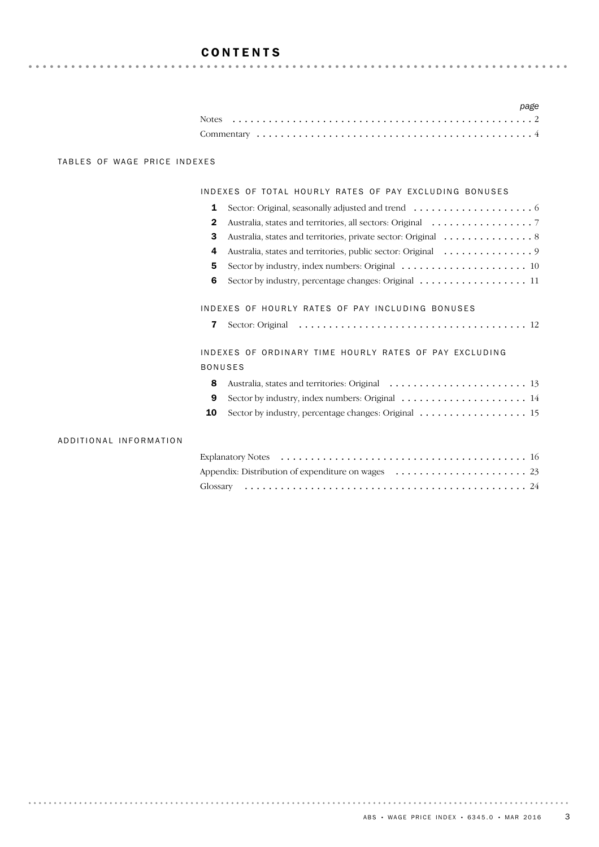# CONTENTS

|  |  |  |  |  |  |  |  |  |  |  |  |  |  |  |  |  |  |  | page |
|--|--|--|--|--|--|--|--|--|--|--|--|--|--|--|--|--|--|--|------|
|  |  |  |  |  |  |  |  |  |  |  |  |  |  |  |  |  |  |  |      |
|  |  |  |  |  |  |  |  |  |  |  |  |  |  |  |  |  |  |  |      |

### TABLES OF WAGE PRICE INDEXES

#### INDEXES OF TOTAL HOURLY RATES OF PAY EXCLUDING BONUSES

|   | Sector: Original, seasonally adjusted and trend $\dots \dots \dots \dots \dots \dots$ |
|---|---------------------------------------------------------------------------------------|
| 2 |                                                                                       |
| з | Australia, states and territories, private sector: Original 8                         |
| 4 |                                                                                       |
| 5 |                                                                                       |
| 6 | Sector by industry, percentage changes: Original 11                                   |
|   |                                                                                       |
|   | INDEXES OF HOURLY RATES OF PAY INCLUDING BONUSES                                      |

|  | <b>7</b> Sector: Original |  |  |
|--|---------------------------|--|--|
|--|---------------------------|--|--|

INDEXES OF ORDINARY TIME HOURLY RATES OF PAY EXCLUDING BONUSES

| 9 Sector by industry, index numbers: Original $\ldots \ldots \ldots \ldots \ldots \ldots \ldots$ |  |
|--------------------------------------------------------------------------------------------------|--|

10 Sector by industry, percentage changes: Original ........................... 15

### ADDITIONAL INFORMATION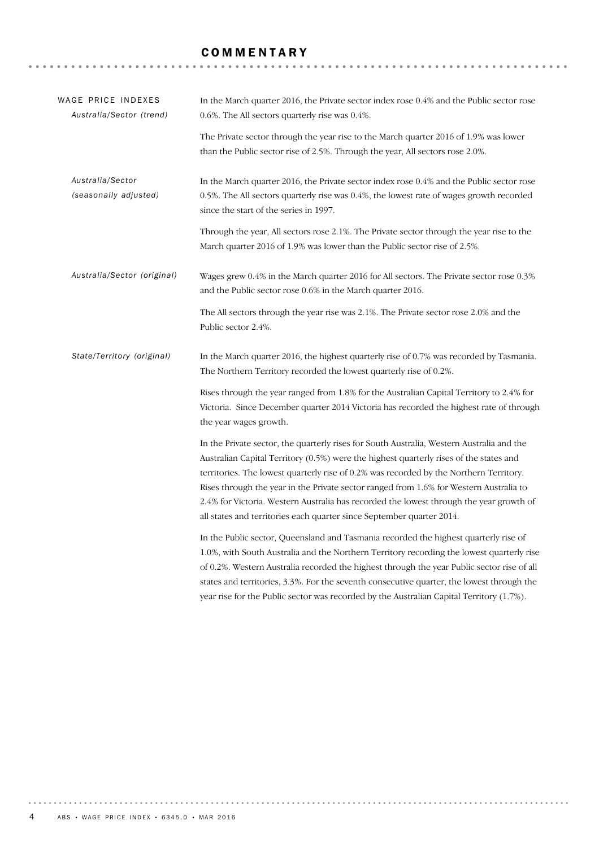# **COMMENTARY**

| WAGE PRICE INDEXES<br>Australia/Sector (trend) | In the March quarter 2016, the Private sector index rose 0.4% and the Public sector rose<br>0.6%. The All sectors quarterly rise was 0.4%.                                                                                                                                                                                                                                                                                                                                                                                                  |
|------------------------------------------------|---------------------------------------------------------------------------------------------------------------------------------------------------------------------------------------------------------------------------------------------------------------------------------------------------------------------------------------------------------------------------------------------------------------------------------------------------------------------------------------------------------------------------------------------|
|                                                | The Private sector through the year rise to the March quarter 2016 of 1.9% was lower<br>than the Public sector rise of 2.5%. Through the year, All sectors rose 2.0%.                                                                                                                                                                                                                                                                                                                                                                       |
| Australia/Sector<br>(seasonally adjusted)      | In the March quarter 2016, the Private sector index rose 0.4% and the Public sector rose<br>0.5%. The All sectors quarterly rise was 0.4%, the lowest rate of wages growth recorded<br>since the start of the series in 1997.                                                                                                                                                                                                                                                                                                               |
|                                                | Through the year, All sectors rose 2.1%. The Private sector through the year rise to the<br>March quarter 2016 of 1.9% was lower than the Public sector rise of 2.5%.                                                                                                                                                                                                                                                                                                                                                                       |
| Australia/Sector (original)                    | Wages grew 0.4% in the March quarter 2016 for All sectors. The Private sector rose 0.3%<br>and the Public sector rose 0.6% in the March quarter 2016.                                                                                                                                                                                                                                                                                                                                                                                       |
|                                                | The All sectors through the year rise was 2.1%. The Private sector rose 2.0% and the<br>Public sector 2.4%.                                                                                                                                                                                                                                                                                                                                                                                                                                 |
| State/Territory (original)                     | In the March quarter 2016, the highest quarterly rise of 0.7% was recorded by Tasmania.<br>The Northern Territory recorded the lowest quarterly rise of 0.2%.                                                                                                                                                                                                                                                                                                                                                                               |
|                                                | Rises through the year ranged from 1.8% for the Australian Capital Territory to 2.4% for<br>Victoria. Since December quarter 2014 Victoria has recorded the highest rate of through<br>the year wages growth.                                                                                                                                                                                                                                                                                                                               |
|                                                | In the Private sector, the quarterly rises for South Australia, Western Australia and the<br>Australian Capital Territory (0.5%) were the highest quarterly rises of the states and<br>territories. The lowest quarterly rise of 0.2% was recorded by the Northern Territory.<br>Rises through the year in the Private sector ranged from 1.6% for Western Australia to<br>2.4% for Victoria. Western Australia has recorded the lowest through the year growth of<br>all states and territories each quarter since September quarter 2014. |
|                                                | In the Public sector, Queensland and Tasmania recorded the highest quarterly rise of<br>1.0%, with South Australia and the Northern Territory recording the lowest quarterly rise<br>of 0.2%. Western Australia recorded the highest through the year Public sector rise of all<br>states and territories, 3.3%. For the seventh consecutive quarter, the lowest through the<br>year rise for the Public sector was recorded by the Australian Capital Territory (1.7%).                                                                    |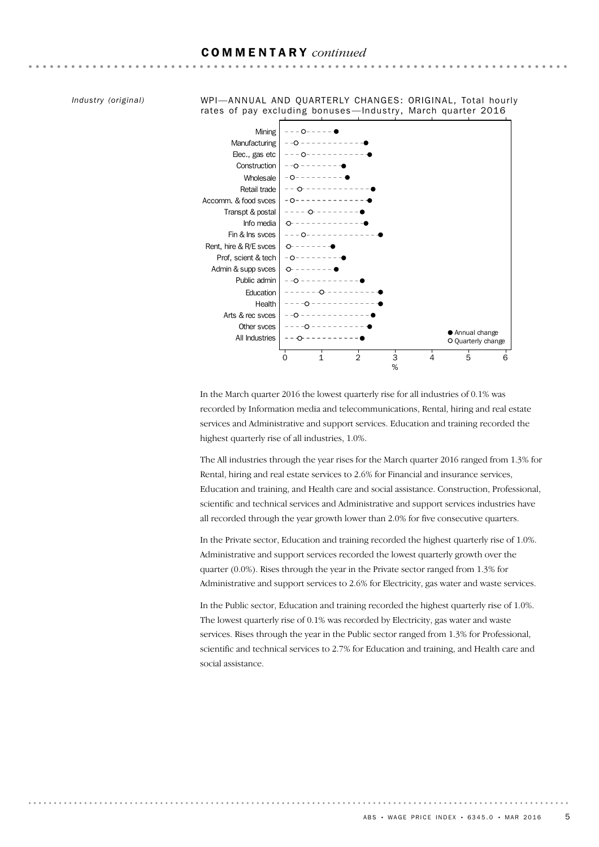### COMMENTARY *continued*

*Industry (original)*

WPI—ANNUAL AND QUARTERLY CHANGES: ORIGINAL, Total hourly rates of pay excluding bonuses-Industry, March quarter 2016



In the March quarter 2016 the lowest quarterly rise for all industries of 0.1% was recorded by Information media and telecommunications, Rental, hiring and real estate services and Administrative and support services. Education and training recorded the highest quarterly rise of all industries, 1.0%.

The All industries through the year rises for the March quarter 2016 ranged from 1.3% for Rental, hiring and real estate services to 2.6% for Financial and insurance services, Education and training, and Health care and social assistance. Construction, Professional, scientific and technical services and Administrative and support services industries have all recorded through the year growth lower than 2.0% for five consecutive quarters.

In the Private sector, Education and training recorded the highest quarterly rise of 1.0%. Administrative and support services recorded the lowest quarterly growth over the quarter (0.0%). Rises through the year in the Private sector ranged from 1.3% for Administrative and support services to 2.6% for Electricity, gas water and waste services.

In the Public sector, Education and training recorded the highest quarterly rise of 1.0%. The lowest quarterly rise of 0.1% was recorded by Electricity, gas water and waste services. Rises through the year in the Public sector ranged from 1.3% for Professional, scientific and technical services to 2.7% for Education and training, and Health care and social assistance.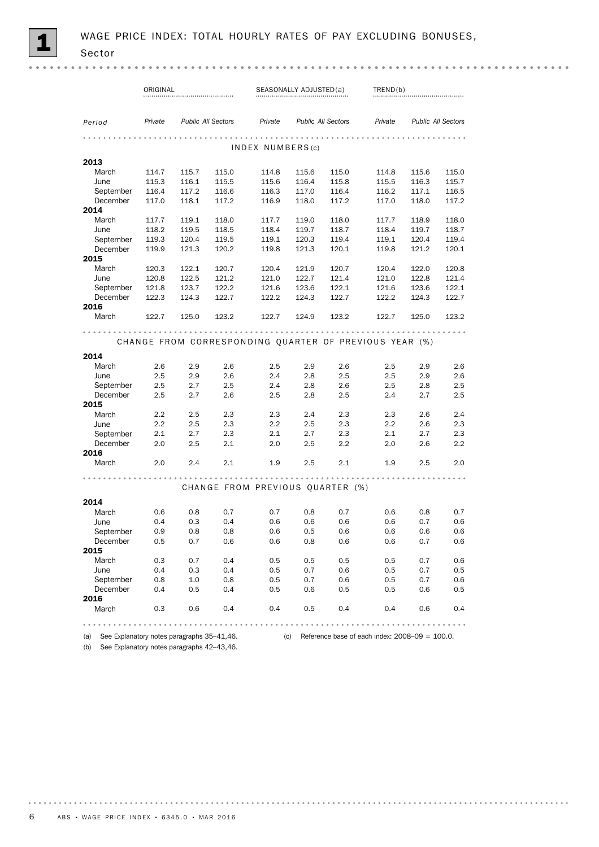|                                                | ORIGINAL |       |                           |                                                        | SEASONALLY ADJUSTED(a) |                           | TRED(b)                                           |       |                           |
|------------------------------------------------|----------|-------|---------------------------|--------------------------------------------------------|------------------------|---------------------------|---------------------------------------------------|-------|---------------------------|
|                                                |          |       |                           |                                                        |                        |                           |                                                   |       |                           |
| Period                                         | Private  |       | <b>Public All Sectors</b> | Private                                                |                        | <b>Public All Sectors</b> | Private                                           |       | <b>Public All Sectors</b> |
|                                                |          |       |                           |                                                        |                        |                           |                                                   |       |                           |
|                                                |          |       |                           | INDEX NUMBERS(c)                                       |                        |                           |                                                   |       |                           |
| 2013                                           |          |       |                           |                                                        |                        |                           |                                                   |       |                           |
| March                                          | 114.7    | 115.7 | 115.0                     | 114.8                                                  | 115.6                  | 115.0                     | 114.8                                             | 115.6 | 115.0                     |
| June                                           | 115.3    | 116.1 | 115.5                     | 115.6                                                  | 116.4                  | 115.8                     | 115.5                                             | 116.3 | 115.7                     |
| September                                      | 116.4    | 117.2 | 116.6                     | 116.3                                                  | 117.0                  | 116.4                     | 116.2                                             | 117.1 | 116.5                     |
| December                                       | 117.0    | 118.1 | 117.2                     | 116.9                                                  | 118.0                  | 117.2                     | 117.0                                             | 118.0 | 117.2                     |
| 2014                                           |          |       |                           |                                                        |                        |                           |                                                   |       |                           |
| March                                          | 117.7    | 119.1 | 118.0                     | 117.7                                                  | 119.0                  | 118.0                     | 117.7                                             | 118.9 | 118.0                     |
| June                                           | 118.2    | 119.5 | 118.5                     | 118.4                                                  | 119.7                  | 118.7                     | 118.4                                             | 119.7 | 118.7                     |
| September                                      | 119.3    | 120.4 | 119.5                     | 119.1                                                  | 120.3                  | 119.4                     | 119.1                                             | 120.4 | 119.4                     |
| December                                       | 119.9    | 121.3 | 120.2                     | 119.8                                                  | 121.3                  | 120.1                     | 119.8                                             | 121.2 | 120.1                     |
| 2015                                           |          |       |                           |                                                        |                        |                           |                                                   |       |                           |
| March                                          | 120.3    | 122.1 | 120.7                     | 120.4                                                  | 121.9                  | 120.7                     | 120.4                                             | 122.0 | 120.8                     |
| June                                           | 120.8    | 122.5 | 121.2                     | 121.0                                                  | 122.7                  | 121.4                     | 121.0                                             | 122.8 | 121.4                     |
| September                                      | 121.8    | 123.7 | 122.2                     | 121.6                                                  | 123.6                  | 122.1                     | 121.6                                             | 123.6 | 122.1                     |
| December                                       | 122.3    | 124.3 | 122.7                     | 122.2                                                  | 124.3                  | 122.7                     | 122.2                                             | 124.3 | 122.7                     |
| 2016                                           |          |       |                           |                                                        |                        |                           |                                                   |       |                           |
| March                                          | 122.7    | 125.0 | 123.2                     | 122.7                                                  | 124.9                  | 123.2                     | 122.7                                             | 125.0 | 123.2                     |
|                                                |          |       |                           |                                                        |                        |                           |                                                   |       |                           |
|                                                |          |       |                           | CHANGE FROM CORRESPONDING QUARTER OF PREVIOUS YEAR (%) |                        |                           |                                                   |       |                           |
| 2014                                           |          |       |                           |                                                        |                        |                           |                                                   |       |                           |
| March                                          | 2.6      | 2.9   | 2.6                       | 2.5                                                    | 2.9                    | 2.6                       | 2.5                                               | 2.9   | 2.6                       |
| June                                           | 2.5      | 2.9   | 2.6                       | 2.4                                                    | 2.8                    | 2.5                       | 2.5                                               | 2.9   | 2.6                       |
| September                                      | 2.5      | 2.7   | 2.5                       | 2.4                                                    | 2.8                    | 2.6                       | 2.5                                               | 2.8   | 2.5                       |
| December                                       | 2.5      | 2.7   | 2.6                       | 2.5                                                    | 2.8                    | 2.5                       | 2.4                                               | 2.7   | 2.5                       |
| 2015                                           |          |       |                           |                                                        |                        |                           |                                                   |       |                           |
| March                                          | 2.2      | 2.5   | 2.3                       | 2.3                                                    | 2.4                    | 2.3                       | 2.3                                               | 2.6   | 2.4                       |
| June                                           | 2.2      | 2.5   | 2.3                       | 2.2                                                    | 2.5                    | 2.3                       | 2.2                                               | 2.6   | 2.3                       |
| September                                      | 2.1      | 2.7   | 2.3                       | 2.1                                                    | 2.7                    | 2.3                       | 2.1                                               | 2.7   | 2.3                       |
| December                                       | 2.0      | 2.5   | 2.1                       | 2.0                                                    | 2.5                    | $2.2\,$                   | 2.0                                               | 2.6   | 2.2                       |
| 2016                                           |          |       |                           |                                                        |                        |                           |                                                   |       |                           |
| March                                          | 2.0      | 2.4   | 2.1                       | 1.9                                                    | 2.5                    | 2.1                       | 1.9                                               | 2.5   | 2.0                       |
|                                                |          |       |                           |                                                        |                        |                           |                                                   |       |                           |
|                                                |          |       |                           | CHANGE FROM PREVIOUS QUARTER (%)                       |                        |                           |                                                   |       |                           |
|                                                |          |       |                           |                                                        |                        |                           |                                                   |       |                           |
| 2014                                           |          |       |                           |                                                        |                        |                           |                                                   |       |                           |
| March                                          | 0.6      | 0.8   | 0.7                       | 0.7                                                    | 0.8                    | 0.7                       | 0.6                                               | 0.8   | 0.7                       |
| June                                           | 0.4      | 0.3   | 0.4                       | 0.6                                                    | 0.6                    | 0.6                       | 0.6                                               | 0.7   | 0.6                       |
| September                                      | 0.9      | 0.8   | 0.8                       | 0.6                                                    | 0.5                    | 0.6                       | 0.6                                               | 0.6   | 0.6                       |
| December                                       | 0.5      | 0.7   | 0.6                       | 0.6                                                    | 0.8                    | 0.6                       | 0.6                                               | 0.7   | 0.6                       |
| 2015                                           |          |       |                           |                                                        |                        |                           |                                                   |       |                           |
| March                                          | 0.3      | 0.7   | 0.4                       | 0.5                                                    | 0.5                    | 0.5                       | 0.5                                               | 0.7   | 0.6                       |
| June                                           | 0.4      | 0.3   | 0.4                       | 0.5                                                    | 0.7                    | 0.6                       | 0.5                                               | 0.7   | 0.5                       |
| September                                      | 0.8      | 1.0   | 0.8                       | 0.5                                                    | 0.7                    | 0.6                       | 0.5                                               | 0.7   | 0.6                       |
| December                                       | 0.4      | 0.5   | 0.4                       | 0.5                                                    | 0.6                    | 0.5                       | 0.5                                               | 0.6   | 0.5                       |
| 2016                                           |          |       |                           |                                                        |                        |                           |                                                   |       |                           |
| March                                          | 0.3      | 0.6   | 0.4                       | 0.4                                                    | 0.5                    | 0.4                       | 0.4                                               | 0.6   | 0.4                       |
|                                                |          |       |                           |                                                        |                        |                           |                                                   |       |                           |
| (a) See Explanatory notes paragraphs 35-41,46. |          |       |                           | $\overline{c}$ (c)                                     |                        |                           | Reference base of each index: $2008-09 = 100.0$ . |       |                           |

(b) See Explanatory notes paragraphs 42–43,46.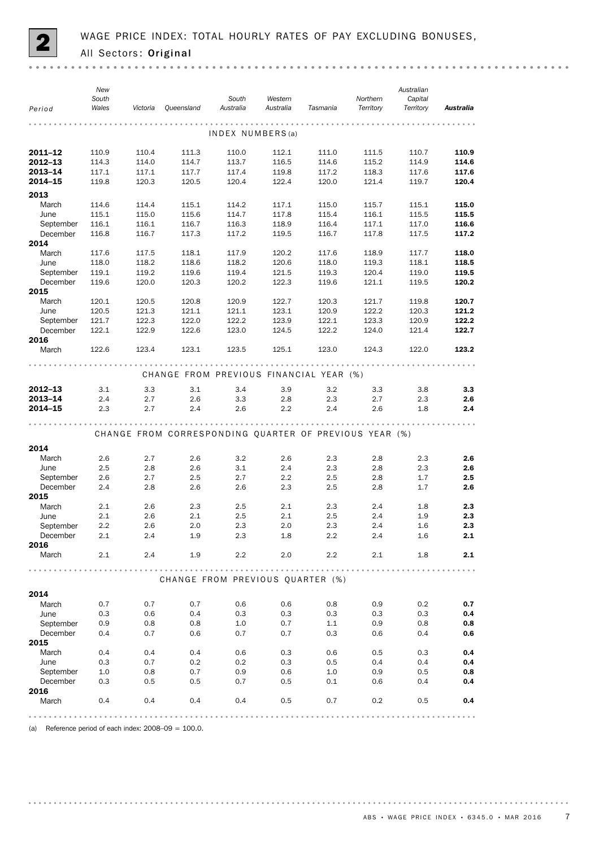

|                  | New<br>South<br>Wales | Victoria | Queensland                                             | South<br>Australia | Western<br>Australia | Tasmania | Northern<br>Territory | Australian<br>Capital<br>Territory | Australia                  |
|------------------|-----------------------|----------|--------------------------------------------------------|--------------------|----------------------|----------|-----------------------|------------------------------------|----------------------------|
| Period           |                       |          |                                                        |                    |                      |          |                       |                                    |                            |
|                  |                       |          |                                                        | INDEX NUMBERS(a)   |                      |          |                       |                                    |                            |
| 2011-12          | 110.9                 | 110.4    | 111.3                                                  | 110.0              | 112.1                | 111.0    | 111.5                 | 110.7                              | 110.9                      |
| $2012 - 13$      | 114.3                 | 114.0    | 114.7                                                  | 113.7              | 116.5                | 114.6    | 115.2                 | 114.9                              | 114.6                      |
| 2013-14          | 117.1                 | 117.1    | 117.7                                                  | 117.4              | 119.8                | 117.2    | 118.3                 | 117.6                              | 117.6                      |
| 2014-15          | 119.8                 | 120.3    | 120.5                                                  | 120.4              | 122.4                | 120.0    | 121.4                 | 119.7                              | 120.4                      |
| 2013             |                       |          |                                                        |                    |                      |          |                       |                                    |                            |
| March            | 114.6                 | 114.4    | 115.1                                                  | 114.2              | 117.1                | 115.0    | 115.7                 | 115.1                              | 115.0                      |
| June             | 115.1                 | 115.0    | 115.6                                                  | 114.7              | 117.8                | 115.4    | 116.1                 | 115.5                              | 115.5                      |
| September        | 116.1                 | 116.1    | 116.7                                                  | 116.3              | 118.9                | 116.4    | 117.1                 | 117.0                              | 116.6                      |
| December         | 116.8                 | 116.7    | 117.3                                                  | 117.2              | 119.5                | 116.7    | 117.8                 | 117.5                              | 117.2                      |
| 2014             |                       |          |                                                        |                    |                      |          |                       |                                    |                            |
| March            | 117.6                 | 117.5    | 118.1                                                  | 117.9              | 120.2                | 117.6    | 118.9                 | 117.7                              | 118.0                      |
| June             | 118.0                 | 118.2    | 118.6                                                  | 118.2              | 120.6                | 118.0    | 119.3                 | 118.1                              | 118.5                      |
| September        | 119.1                 | 119.2    | 119.6                                                  | 119.4              | 121.5                | 119.3    | 120.4                 | 119.0                              | 119.5                      |
| December<br>2015 | 119.6                 | 120.0    | 120.3                                                  | 120.2              | 122.3                | 119.6    | 121.1                 | 119.5                              | 120.2                      |
| March            | 120.1                 | 120.5    | 120.8                                                  | 120.9              | 122.7                | 120.3    | 121.7                 | 119.8                              | 120.7                      |
| June             | 120.5                 | 121.3    | 121.1                                                  | 121.1              | 123.1                | 120.9    | 122.2                 | 120.3                              | 121.2                      |
| September        | 121.7                 | 122.3    | 122.0                                                  | 122.2              | 123.9                | 122.1    | 123.3                 | 120.9                              | 122.2                      |
| December         | 122.1                 | 122.9    | 122.6                                                  | 123.0              | 124.5                | 122.2    | 124.0                 | 121.4                              | 122.7                      |
| 2016             |                       |          |                                                        |                    |                      |          |                       |                                    |                            |
| March            | 122.6                 | 123.4    | 123.1                                                  | 123.5              | 125.1                | 123.0    | 124.3                 | 122.0                              | 123.2                      |
|                  |                       |          | CHANGE FROM PREVIOUS FINANCIAL YEAR (%)                |                    |                      |          |                       |                                    |                            |
| $2012 - 13$      | 3.1                   | 3.3      | 3.1                                                    | 3.4                | 3.9                  | 3.2      | 3.3                   | 3.8                                | 3.3                        |
| 2013-14          | 2.4                   | 2.7      | 2.6                                                    | 3.3                | 2.8                  | 2.3      | 2.7                   | 2.3                                | 2.6                        |
| 2014-15          | 2.3                   | 2.7      | 2.4                                                    | 2.6                | 2.2                  | 2.4      | 2.6                   | 1.8                                | 2.4                        |
|                  |                       |          | CHANGE FROM CORRESPONDING QUARTER OF PREVIOUS YEAR (%) |                    |                      |          |                       |                                    |                            |
| 2014             |                       |          |                                                        |                    |                      |          |                       |                                    |                            |
| March            | 2.6                   | 2.7      | 2.6                                                    | 3.2                | 2.6                  | 2.3      | 2.8                   | 2.3                                | 2.6                        |
| June             | 2.5                   | 2.8      | 2.6                                                    | 3.1                | $2.4\,$              | 2.3      | 2.8                   | 2.3                                | 2.6                        |
| September        | 2.6                   | 2.7      | 2.5                                                    | 2.7                | $2.2\,$              | 2.5      | 2.8                   | 1.7                                | 2.5                        |
| December         | 2.4                   | 2.8      | 2.6                                                    | 2.6                | 2.3                  | 2.5      | 2.8                   | 1.7                                | 2.6                        |
| 2015             |                       |          |                                                        |                    |                      |          |                       |                                    |                            |
| March            | 2.1                   | 2.6      | 2.3                                                    | 2.5                | 2.1                  | 2.3      | 2.4                   | 1.8                                | 2.3                        |
| June             | 2.1                   | 2.6      | 2.1                                                    | 2.5                | 2.1                  | 2.5      | 2.4                   | 1.9                                | 2.3                        |
| September        | 2.2                   | 2.6      | 2.0                                                    | 2.3                | 2.0                  | 2.3      | 2.4                   | 1.6                                | 2.3                        |
| December         | 2.1                   | 2.4      | 1.9                                                    | 2.3                | 1.8                  | 2.2      | 2.4                   | 1.6                                | 2.1                        |
| 2016             |                       |          |                                                        |                    |                      |          |                       |                                    |                            |
| March            | 2.1                   | 2.4      | 1.9                                                    | 2.2                | 2.0                  | $2.2\,$  | 2.1                   | 1.8                                | 2.1                        |
|                  |                       |          | CHANGE FROM PREVIOUS QUARTER (%)                       |                    |                      |          |                       |                                    | $\alpha$ $\alpha$ $\alpha$ |
| 2014             |                       |          |                                                        |                    |                      |          |                       |                                    |                            |
| March            | 0.7                   | 0.7      | 0.7                                                    | 0.6                | 0.6                  | 0.8      | 0.9                   | 0.2                                | 0.7                        |
| June             | 0.3                   | 0.6      | 0.4                                                    | 0.3                | 0.3                  | 0.3      | 0.3                   | 0.3                                | 0.4                        |
| September        | 0.9                   | 0.8      | 0.8                                                    | 1.0                | 0.7                  | 1.1      | 0.9                   | 0.8                                | 0.8                        |
| December         | 0.4                   | 0.7      | 0.6                                                    | 0.7                | 0.7                  | 0.3      | 0.6                   | 0.4                                | 0.6                        |
| 2015             |                       |          |                                                        |                    |                      |          |                       |                                    |                            |
| March            | 0.4                   | 0.4      | 0.4                                                    | 0.6                | 0.3                  | 0.6      | 0.5                   | 0.3                                | 0.4                        |
| June             | 0.3                   | 0.7      | 0.2                                                    | 0.2                | 0.3                  | 0.5      | 0.4                   | 0.4                                | 0.4                        |
| September        | 1.0                   | 0.8      | 0.7                                                    | 0.9                | 0.6                  | 1.0      | 0.9                   | 0.5                                | 0.8                        |
| December<br>2016 | 0.3                   | 0.5      | 0.5                                                    | 0.7                | 0.5                  | 0.1      | 0.6                   | 0.4                                | 0.4                        |
| March            | 0.4                   | 0.4      | 0.4                                                    | 0.4                | 0.5                  | 0.7      | 0.2                   | 0.5                                | 0.4                        |
|                  |                       |          |                                                        |                    |                      |          |                       |                                    |                            |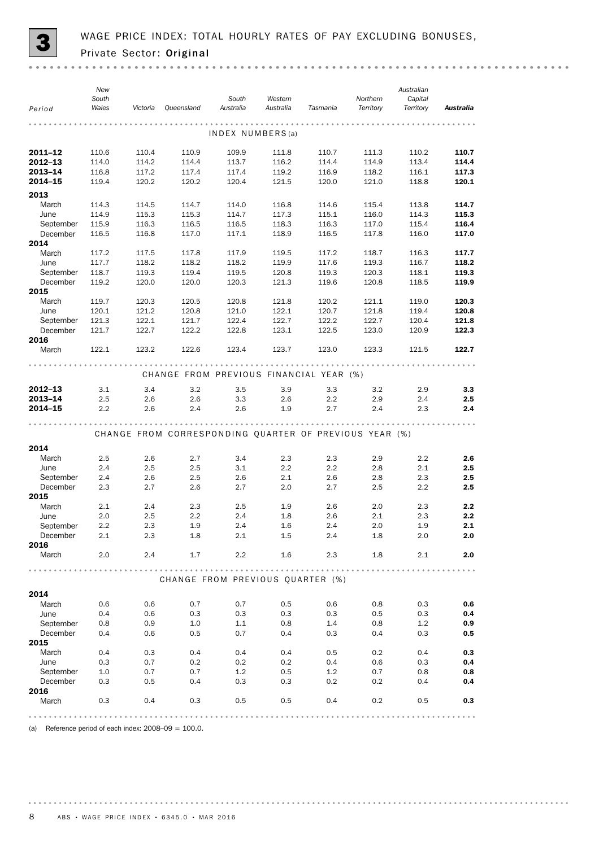

| Period           | New<br>South<br>Wales | Victoria | Queensland                                             | South<br>Australia | Western<br>Australia | Tasmania | Northern<br>Territory | Australian<br>Capital<br>Territory | Australia |
|------------------|-----------------------|----------|--------------------------------------------------------|--------------------|----------------------|----------|-----------------------|------------------------------------|-----------|
|                  |                       |          |                                                        |                    |                      |          |                       |                                    |           |
|                  |                       |          |                                                        | INDEX NUMBERS(a)   |                      |          |                       |                                    |           |
| $2011 - 12$      | 110.6                 | 110.4    | 110.9                                                  | 109.9              | 111.8                | 110.7    | 111.3                 | 110.2                              | 110.7     |
| 2012-13          | 114.0                 | 114.2    | 114.4                                                  | 113.7              | 116.2                | 114.4    | 114.9                 | 113.4                              | 114.4     |
| 2013-14          | 116.8                 | 117.2    | 117.4                                                  | 117.4              | 119.2                | 116.9    | 118.2                 | 116.1                              | 117.3     |
| 2014-15          | 119.4                 | 120.2    | 120.2                                                  | 120.4              | 121.5                | 120.0    | 121.0                 | 118.8                              | 120.1     |
| 2013             |                       |          |                                                        |                    |                      |          |                       |                                    |           |
| March            | 114.3                 | 114.5    | 114.7                                                  | 114.0              | 116.8                | 114.6    | 115.4                 | 113.8                              | 114.7     |
| June             | 114.9                 | 115.3    | 115.3                                                  | 114.7              | 117.3                | 115.1    | 116.0                 | 114.3                              | 115.3     |
| September        | 115.9                 | 116.3    | 116.5                                                  | 116.5              | 118.3                | 116.3    | 117.0                 | 115.4                              | 116.4     |
| December         | 116.5                 | 116.8    | 117.0                                                  | 117.1              | 118.9                | 116.5    | 117.8                 | 116.0                              | 117.0     |
| 2014             |                       |          |                                                        |                    |                      |          |                       |                                    |           |
| March            | 117.2                 | 117.5    | 117.8                                                  | 117.9              | 119.5                | 117.2    | 118.7                 | 116.3                              | 117.7     |
| June             | 117.7                 | 118.2    | 118.2                                                  | 118.2              | 119.9                | 117.6    | 119.3                 | 116.7                              | 118.2     |
| September        | 118.7                 | 119.3    | 119.4                                                  | 119.5              | 120.8                | 119.3    | 120.3                 | 118.1                              | 119.3     |
| December         | 119.2                 | 120.0    | 120.0                                                  | 120.3              | 121.3                | 119.6    | 120.8                 | 118.5                              | 119.9     |
| 2015             |                       |          |                                                        |                    |                      |          |                       |                                    |           |
| March            | 119.7                 | 120.3    | 120.5                                                  | 120.8              | 121.8                | 120.2    | 121.1                 | 119.0                              | 120.3     |
| June             | 120.1                 | 121.2    | 120.8                                                  | 121.0              | 122.1                | 120.7    | 121.8                 | 119.4                              | 120.8     |
| September        | 121.3                 | 122.1    | 121.7                                                  | 122.4              | 122.7                | 122.2    | 122.7                 | 120.4                              | 121.8     |
| December         | 121.7                 | 122.7    | 122.2                                                  | 122.8              | 123.1                | 122.5    | 123.0                 | 120.9                              | 122.3     |
| 2016             |                       |          |                                                        |                    |                      |          |                       |                                    |           |
| March            | 122.1                 | 123.2    | 122.6                                                  | 123.4              | 123.7                | 123.0    | 123.3                 | 121.5                              | 122.7     |
|                  |                       |          | CHANGE FROM PREVIOUS FINANCIAL YEAR (%)                |                    |                      |          |                       |                                    |           |
| $2012 - 13$      | 3.1                   | 3.4      | 3.2                                                    | 3.5                | 3.9                  | 3.3      | 3.2                   | 2.9                                | 3.3       |
| 2013-14          | 2.5                   | 2.6      | 2.6                                                    | 3.3                | 2.6                  | 2.2      | 2.9                   | 2.4                                | 2.5       |
| 2014-15          | 2.2                   | 2.6      | 2.4                                                    | 2.6                | 1.9                  | 2.7      | 2.4                   | 2.3                                | 2.4       |
|                  |                       |          |                                                        |                    |                      |          |                       |                                    |           |
|                  |                       |          | CHANGE FROM CORRESPONDING QUARTER OF PREVIOUS YEAR (%) |                    |                      |          |                       |                                    |           |
| 2014             |                       |          |                                                        |                    |                      |          |                       |                                    |           |
| March            | 2.5                   | 2.6      | 2.7                                                    | 3.4                | 2.3                  | 2.3      | 2.9                   | $2.2\phantom{0}$                   | 2.6       |
| June             | 2.4                   | 2.5      | 2.5                                                    | 3.1                | 2.2                  | 2.2      | 2.8                   | 2.1                                | 2.5       |
| September        | 2.4                   | 2.6      | 2.5                                                    | 2.6                | 2.1                  | 2.6      | 2.8                   | 2.3                                | 2.5       |
| December         | 2.3                   | 2.7      | 2.6                                                    | 2.7                | 2.0                  | 2.7      | 2.5                   | 2.2                                | 2.5       |
| 2015             |                       |          |                                                        |                    |                      |          |                       |                                    |           |
| March            | 2.1                   | 2.4      | 2.3                                                    | 2.5                | 1.9                  | 2.6      | 2.0                   | 2.3                                | 2.2       |
| June             | 2.0                   | 2.5      | 2.2                                                    | 2.4                | 1.8                  | 2.6      | 2.1                   | 2.3                                | 2.2       |
| September        | 2.2                   | 2.3      | 1.9                                                    | 2.4                | 1.6                  | 2.4      | 2.0                   | 1.9                                | 2.1       |
| December         | 2.1                   | 2.3      | 1.8                                                    | 2.1                | 1.5                  | 2.4      | 1.8                   | 2.0                                | 2.0       |
| 2016             |                       |          |                                                        |                    |                      |          |                       |                                    |           |
| March            | 2.0                   | 2.4      | 1.7                                                    | 2.2                | 1.6                  | 2.3      | 1.8                   | 2.1                                | 2.0       |
|                  |                       |          |                                                        |                    |                      |          |                       |                                    |           |
|                  |                       |          | CHANGE FROM PREVIOUS QUARTER (%)                       |                    |                      |          |                       |                                    |           |
| 2014             |                       |          |                                                        |                    |                      |          |                       |                                    |           |
| March            | 0.6                   | 0.6      | 0.7                                                    | 0.7                | 0.5                  | 0.6      | 0.8                   | 0.3                                | 0.6       |
| June             | 0.4                   | 0.6      | 0.3                                                    | 0.3                | 0.3                  | 0.3      | 0.5                   | 0.3                                | 0.4       |
| September        | 0.8                   | 0.9      | 1.0                                                    | 1.1                | 0.8                  | 1.4      | 0.8                   | 1.2                                | 0.9       |
| December         | 0.4                   | 0.6      | 0.5                                                    | 0.7                | 0.4                  | 0.3      | 0.4                   | 0.3                                | 0.5       |
| 2015             |                       |          |                                                        |                    |                      |          |                       |                                    |           |
| March            | 0.4                   | 0.3      | 0.4                                                    | 0.4                | 0.4                  | 0.5      | 0.2                   | 0.4                                | 0.3       |
| June             | 0.3                   | 0.7      | 0.2                                                    | 0.2                | 0.2                  | 0.4      | 0.6                   | 0.3                                | 0.4       |
| September        | 1.0                   | 0.7      | 0.7                                                    | 1.2                | 0.5                  | 1.2      | 0.7                   | 0.8                                | 0.8       |
| December<br>2016 | 0.3                   | 0.5      | 0.4                                                    | 0.3                | 0.3                  | 0.2      | 0.2                   | 0.4                                | 0.4       |
| March            | 0.3                   | 0.4      | 0.3                                                    | 0.5                | 0.5                  | 0.4      | 0.2                   | 0.5                                | 0.3       |
|                  |                       |          |                                                        |                    |                      |          |                       |                                    |           |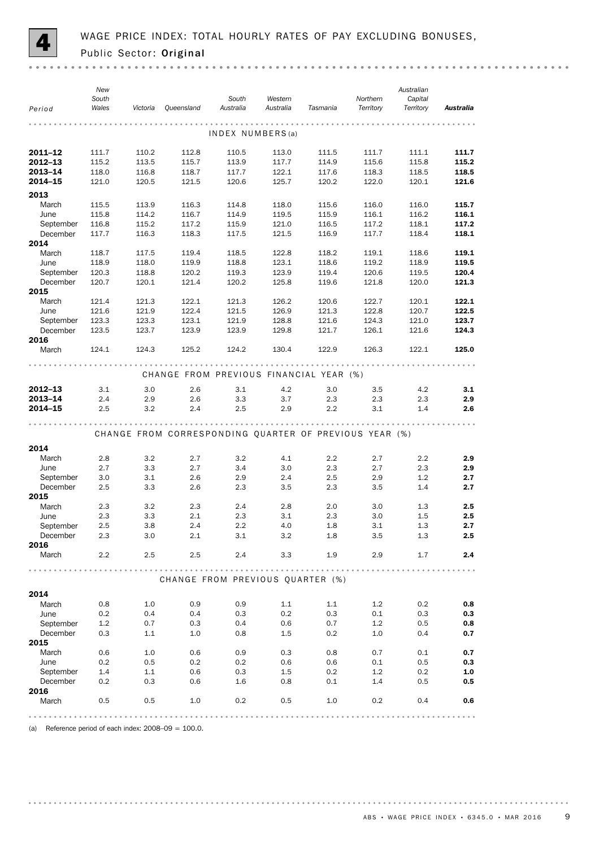

| Period             | New<br>South<br>Wales | Victoria       | Queensland                                             | South<br>Australia | Western<br>Australia | Tasmania       | Northern<br>Territory | Australian<br>Capital<br>Territory | Australia      |
|--------------------|-----------------------|----------------|--------------------------------------------------------|--------------------|----------------------|----------------|-----------------------|------------------------------------|----------------|
|                    |                       |                |                                                        | INDEX NUMBERS(a)   |                      |                |                       |                                    |                |
| 2011-12            | 111.7                 | 110.2          | 112.8                                                  | 110.5              | 113.0                | 111.5          | 111.7                 | 111.1                              | 111.7          |
| 2012-13            | 115.2                 | 113.5          | 115.7                                                  | 113.9              | 117.7                | 114.9          | 115.6                 | 115.8                              | 115.2          |
| 2013-14            | 118.0                 | 116.8          | 118.7                                                  | 117.7              | 122.1                | 117.6          | 118.3                 | 118.5                              | 118.5          |
| 2014-15            | 121.0                 | 120.5          | 121.5                                                  | 120.6              | 125.7                | 120.2          | 122.0                 | 120.1                              | 121.6          |
| 2013               |                       |                |                                                        |                    |                      |                |                       |                                    |                |
| March              | 115.5                 | 113.9          | 116.3                                                  | 114.8              | 118.0                | 115.6          | 116.0                 | 116.0                              | 115.7          |
| June               | 115.8                 | 114.2          | 116.7                                                  | 114.9              | 119.5                | 115.9          | 116.1                 | 116.2                              | 116.1          |
| September          | 116.8                 | 115.2          | 117.2                                                  | 115.9              | 121.0                | 116.5          | 117.2                 | 118.1                              | 117.2          |
| December           | 117.7                 | 116.3          | 118.3                                                  | 117.5              | 121.5                | 116.9          | 117.7                 | 118.4                              | 118.1          |
| 2014               |                       |                |                                                        |                    |                      |                |                       |                                    |                |
| March              | 118.7                 | 117.5          | 119.4                                                  | 118.5              | 122.8                | 118.2          | 119.1                 | 118.6                              | 119.1          |
| June               | 118.9                 | 118.0          | 119.9                                                  | 118.8              | 123.1                | 118.6          | 119.2                 | 118.9                              | 119.5          |
| September          | 120.3                 | 118.8          | 120.2                                                  | 119.3              | 123.9                | 119.4          | 120.6                 | 119.5                              | 120.4          |
| December           | 120.7                 | 120.1          | 121.4                                                  | 120.2              | 125.8                | 119.6          | 121.8                 | 120.0                              | 121.3          |
| 2015               |                       |                |                                                        |                    |                      |                |                       |                                    |                |
| March<br>June      | 121.4<br>121.6        | 121.3<br>121.9 | 122.1<br>122.4                                         | 121.3<br>121.5     | 126.2<br>126.9       | 120.6<br>121.3 | 122.7<br>122.8        | 120.1<br>120.7                     | 122.1<br>122.5 |
| September          | 123.3                 | 123.3          | 123.1                                                  | 121.9              | 128.8                | 121.6          | 124.3                 | 121.0                              | 123.7          |
| December           | 123.5                 | 123.7          | 123.9                                                  | 123.9              | 129.8                | 121.7          | 126.1                 | 121.6                              | 124.3          |
| 2016               |                       |                |                                                        |                    |                      |                |                       |                                    |                |
| March              | 124.1                 | 124.3          | 125.2                                                  | 124.2              | 130.4                | 122.9          | 126.3                 | 122.1                              | 125.0          |
|                    |                       |                | CHANGE FROM PREVIOUS FINANCIAL YEAR (%)                |                    |                      |                |                       |                                    |                |
|                    |                       |                |                                                        |                    |                      |                |                       |                                    |                |
| $2012 - 13$        | 3.1                   | 3.0            | 2.6                                                    | 3.1                | 4.2                  | 3.0            | 3.5<br>2.3            | 4.2                                | 3.1            |
| 2013-14<br>2014-15 | 2.4<br>2.5            | 2.9<br>3.2     | 2.6<br>2.4                                             | 3.3<br>2.5         | 3.7<br>2.9           | 2.3<br>2.2     | 3.1                   | 2.3<br>1.4                         | 2.9<br>2.6     |
|                    |                       |                |                                                        |                    |                      |                |                       |                                    |                |
|                    |                       |                |                                                        |                    |                      |                |                       |                                    |                |
|                    |                       |                | CHANGE FROM CORRESPONDING QUARTER OF PREVIOUS YEAR (%) |                    |                      |                |                       |                                    |                |
| 2014               |                       |                |                                                        |                    |                      |                |                       |                                    |                |
| March              | 2.8                   | 3.2            | 2.7                                                    | 3.2                | 4.1                  | 2.2            | 2.7                   | 2.2                                | 2.9            |
| June               | 2.7                   | 3.3            | 2.7                                                    | 3.4                | 3.0                  | 2.3            | 2.7                   | 2.3                                | 2.9            |
| September          | 3.0                   | 3.1            | 2.6                                                    | 2.9                | 2.4                  | 2.5            | 2.9                   | 1.2                                | 2.7            |
| December           | 2.5                   | 3.3            | 2.6                                                    | 2.3                | 3.5                  | 2.3            | 3.5                   | 1.4                                | 2.7            |
| 2015               |                       |                |                                                        |                    |                      |                |                       |                                    |                |
| March              | 2.3                   | 3.2            | 2.3                                                    | 2.4                | 2.8                  | 2.0            | 3.0                   | 1.3                                | 2.5            |
| June               | 2.3                   | 3.3            | 2.1                                                    | 2.3                | 3.1                  | 2.3            | 3.0                   | 1.5                                | 2.5            |
| September          | 2.5                   | 3.8            | 2.4                                                    | 2.2                | 4.0                  | 1.8            | 3.1                   | 1.3                                | 2.7            |
| December<br>2016   | 2.3                   | 3.0            | 2.1                                                    | 3.1                | 3.2                  | 1.8            | 3.5                   | 1.3                                | 2.5            |
| March              | $2.2\,$               | 2.5            | 2.5                                                    | 2.4                | 3.3                  | 1.9            | 2.9                   | 1.7                                | 2.4            |
|                    |                       |                |                                                        |                    |                      |                |                       |                                    |                |
|                    |                       |                | CHANGE FROM PREVIOUS QUARTER (%)                       |                    |                      |                |                       |                                    |                |
| 2014               |                       |                |                                                        |                    |                      |                |                       |                                    |                |
| March              | 0.8                   | 1.0            | 0.9                                                    | 0.9                | 1.1                  | 1.1            | 1.2                   | 0.2                                | 0.8            |
| June               | 0.2                   | 0.4            | 0.4                                                    | 0.3                | 0.2                  | 0.3            | 0.1                   | 0.3                                | 0.3            |
| September          | 1.2                   | 0.7            | 0.3                                                    | 0.4                | 0.6                  | 0.7            | 1.2                   | 0.5                                | 0.8            |
| December           | 0.3                   | 1.1            | 1.0                                                    | 0.8                | $1.5\,$              | 0.2            | 1.0                   | 0.4                                | 0.7            |
| 2015               |                       |                |                                                        |                    |                      |                |                       |                                    |                |
| March              | 0.6                   | 1.0            | 0.6                                                    | 0.9                | 0.3                  | 0.8            | 0.7                   | 0.1                                | 0.7            |
| June               | 0.2                   | 0.5            | 0.2                                                    | 0.2                | 0.6                  | 0.6            | 0.1                   | 0.5                                | 0.3            |
| September          | 1.4                   | 1.1            | 0.6                                                    | 0.3                | 1.5                  | 0.2            | 1.2                   | 0.2                                | 1.0            |
| December<br>2016   | 0.2                   | 0.3            | 0.6                                                    | 1.6                | 0.8                  | 0.1            | 1.4                   | 0.5                                | 0.5            |
| March              | 0.5                   | 0.5            | 1.0                                                    | 0.2                | 0.5                  | 1.0            | 0.2                   | 0.4                                | 0.6            |
|                    |                       |                |                                                        |                    |                      |                |                       |                                    |                |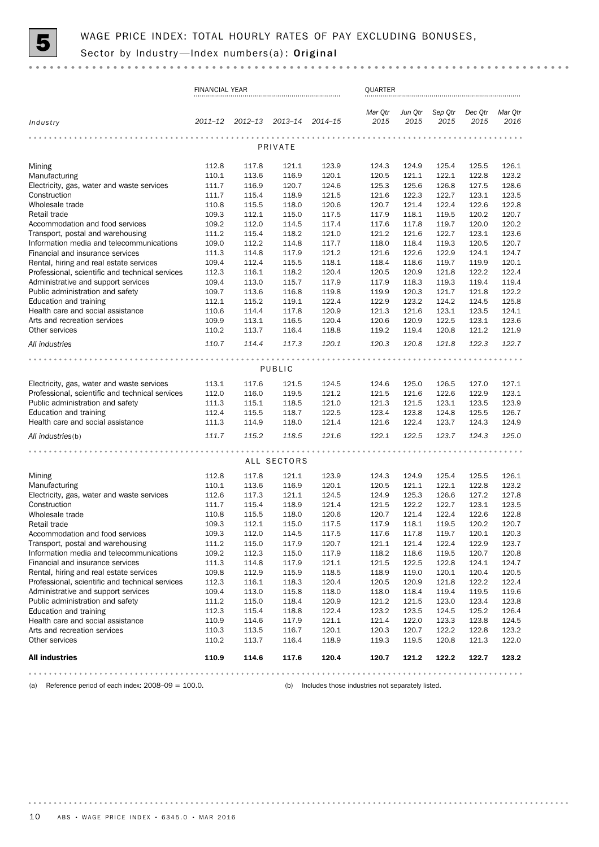

|                                                                               | <b>FINANCIAL YEAR</b> |                         |                |                | QUARTER         |                 |                 |                 |                 |
|-------------------------------------------------------------------------------|-----------------------|-------------------------|----------------|----------------|-----------------|-----------------|-----------------|-----------------|-----------------|
| Industry                                                                      |                       | 2011-12 2012-13 2013-14 |                | $2014 - 15$    | Mar Qtr<br>2015 | Jun Qtr<br>2015 | Sep Qtr<br>2015 | Dec Qtr<br>2015 | Mar Qtr<br>2016 |
|                                                                               |                       | $- - - - -$             |                |                |                 |                 |                 |                 |                 |
|                                                                               |                       |                         | PRIVATE        |                |                 |                 |                 |                 |                 |
| Mining                                                                        | 112.8                 | 117.8                   | 121.1          | 123.9          | 124.3           | 124.9           | 125.4           | 125.5           | 126.1           |
| Manufacturing                                                                 | 110.1                 | 113.6                   | 116.9          | 120.1          | 120.5           | 121.1           | 122.1           | 122.8           | 123.2           |
| Electricity, gas, water and waste services                                    | 111.7                 | 116.9                   | 120.7          | 124.6          | 125.3           | 125.6           | 126.8           | 127.5           | 128.6           |
| Construction                                                                  | 111.7                 | 115.4                   | 118.9          | 121.5          | 121.6           | 122.3           | 122.7           | 123.1           | 123.5           |
| Wholesale trade                                                               | 110.8                 | 115.5                   | 118.0          | 120.6          | 120.7           | 121.4           | 122.4           | 122.6           | 122.8           |
| Retail trade                                                                  | 109.3                 | 112.1                   | 115.0          | 117.5          | 117.9           | 118.1           | 119.5           | 120.2           | 120.7           |
| Accommodation and food services                                               | 109.2                 | 112.0                   | 114.5          | 117.4          | 117.6           | 117.8           | 119.7           | 120.0           | 120.2           |
| Transport, postal and warehousing<br>Information media and telecommunications | 111.2<br>109.0        | 115.4<br>112.2          | 118.2<br>114.8 | 121.0<br>117.7 | 121.2<br>118.0  | 121.6<br>118.4  | 122.7<br>119.3  | 123.1<br>120.5  | 123.6<br>120.7  |
| Financial and insurance services                                              | 111.3                 | 114.8                   | 117.9          | 121.2          | 121.6           | 122.6           | 122.9           | 124.1           | 124.7           |
| Rental, hiring and real estate services                                       | 109.4                 | 112.4                   | 115.5          | 118.1          | 118.4           | 118.6           | 119.7           | 119.9           | 120.1           |
| Professional, scientific and technical services                               | 112.3                 | 116.1                   | 118.2          | 120.4          | 120.5           | 120.9           | 121.8           | 122.2           | 122.4           |
| Administrative and support services                                           | 109.4                 | 113.0                   | 115.7          | 117.9          | 117.9           | 118.3           | 119.3           | 119.4           | 119.4           |
| Public administration and safety                                              | 109.7                 | 113.6                   | 116.8          | 119.8          | 119.9           | 120.3           | 121.7           | 121.8           | 122.2           |
| Education and training                                                        | 112.1                 | 115.2                   | 119.1          | 122.4          | 122.9           | 123.2           | 124.2           | 124.5           | 125.8           |
| Health care and social assistance                                             | 110.6                 | 114.4                   | 117.8          | 120.9          | 121.3           | 121.6           | 123.1           | 123.5           | 124.1           |
| Arts and recreation services                                                  | 109.9                 | 113.1                   | 116.5          | 120.4          | 120.6           | 120.9           | 122.5           | 123.1           | 123.6           |
| Other services                                                                | 110.2                 | 113.7                   | 116.4          | 118.8          | 119.2           | 119.4           | 120.8           | 121.2           | 121.9           |
| All industries                                                                | 110.7                 | 114.4                   | 117.3          | 120.1          | 120.3           | 120.8           | 121.8           | 122.3           | 122.7           |
|                                                                               |                       |                         |                |                |                 |                 |                 |                 |                 |
|                                                                               |                       |                         | PUBLIC         |                |                 |                 |                 |                 |                 |
| Electricity, gas, water and waste services                                    | 113.1                 | 117.6                   | 121.5          | 124.5          | 124.6           | 125.0           | 126.5           | 127.0           | 127.1           |
| Professional, scientific and technical services                               | 112.0                 | 116.0                   | 119.5          | 121.2          | 121.5           | 121.6           | 122.6           | 122.9           | 123.1           |
| Public administration and safety                                              | 111.3                 | 115.1                   | 118.5          | 121.0          | 121.3           | 121.5           | 123.1           | 123.5           | 123.9           |
| Education and training                                                        | 112.4                 | 115.5                   | 118.7          | 122.5          | 123.4           | 123.8           | 124.8           | 125.5           | 126.7           |
| Health care and social assistance                                             | 111.3                 | 114.9                   | 118.0          | 121.4          | 121.6           | 122.4           | 123.7           | 124.3           | 124.9           |
| All industries(b)                                                             | 111.7                 | 115.2                   | 118.5          | 121.6          | 122.1           | 122.5           | 123.7           | 124.3           | 125.0           |
|                                                                               |                       |                         | $-0.0000$      |                |                 |                 |                 |                 |                 |
|                                                                               |                       |                         | ALL SECTORS    |                |                 |                 |                 |                 |                 |
| Mining                                                                        | 112.8                 | 117.8                   | 121.1          | 123.9          | 124.3           | 124.9           | 125.4           | 125.5           | 126.1           |
| Manufacturing                                                                 | 110.1                 | 113.6                   | 116.9          | 120.1          | 120.5           | 121.1           | 122.1           | 122.8           | 123.2           |
| Electricity, gas, water and waste services                                    | 112.6                 | 117.3                   | 121.1          | 124.5          | 124.9           | 125.3           | 126.6           | 127.2           | 127.8           |
| Construction                                                                  | 111.7                 | 115.4                   | 118.9          | 121.4          | 121.5           | 122.2           | 122.7           | 123.1           | 123.5           |
| Wholesale trade                                                               | 110.8                 | 115.5                   | 118.0          | 120.6          | 120.7           | 121.4           | 122.4           | 122.6           | 122.8           |
| Retail trade                                                                  | 109.3                 | 112.1                   | 115.0          | 117.5          | 117.9           | 118.1           | 119.5           | 120.2           | 120.7           |
| Accommodation and food services                                               | 109.3                 | 112.0                   | 114.5          | 117.5          | 117.6           | 117.8           | 119.7           | 120.1           | 120.3           |
| Transport, postal and warehousing<br>Information media and telecommunications | 111.2                 | 115.0                   | 117.9          | 120.7          | 121.1           | 121.4           | 122.4           | 122.9           | 123.7           |
| Financial and insurance services                                              | 109.2<br>111.3        | 112.3<br>114.8          | 115.0<br>117.9 | 117.9<br>121.1 | 118.2<br>121.5  | 118.6<br>122.5  | 119.5<br>122.8  | 120.7<br>124.1  | 120.8<br>124.7  |
| Rental, hiring and real estate services                                       | 109.8                 | 112.9                   | 115.9          | 118.5          | 118.9           | 119.0           | 120.1           | 120.4           | 120.5           |
| Professional, scientific and technical services                               | 112.3                 | 116.1                   | 118.3          | 120.4          | 120.5           | 120.9           | 121.8           | 122.2           | 122.4           |
| Administrative and support services                                           | 109.4                 | 113.0                   | 115.8          | 118.0          | 118.0           | 118.4           | 119.4           | 119.5           | 119.6           |
| Public administration and safety                                              | 111.2                 | 115.0                   | 118.4          | 120.9          | 121.2           | 121.5           | 123.0           | 123.4           | 123.8           |
| Education and training                                                        | 112.3                 | 115.4                   | 118.8          | 122.4          | 123.2           | 123.5           | 124.5           | 125.2           | 126.4           |
| Health care and social assistance                                             | 110.9                 | 114.6                   | 117.9          | 121.1          | 121.4           | 122.0           | 123.3           | 123.8           | 124.5           |
| Arts and recreation services                                                  | 110.3                 | 113.5                   | 116.7          | 120.1          | 120.3           | 120.7           | 122.2           | 122.8           | 123.2           |
| Other services                                                                | 110.2                 | 113.7                   | 116.4          | 118.9          | 119.3           | 119.5           | 120.8           | 121.3           | 122.0           |
| <b>All industries</b>                                                         | 110.9                 | 114.6                   | 117.6          | 120.4          | 120.7           | 121.2           | 122.2           | 122.7           | 123.2           |
|                                                                               |                       |                         |                |                |                 |                 |                 |                 |                 |

(a) Reference period of each index: 2008–09 = 100.0. (b) Includes those industries not separately listed.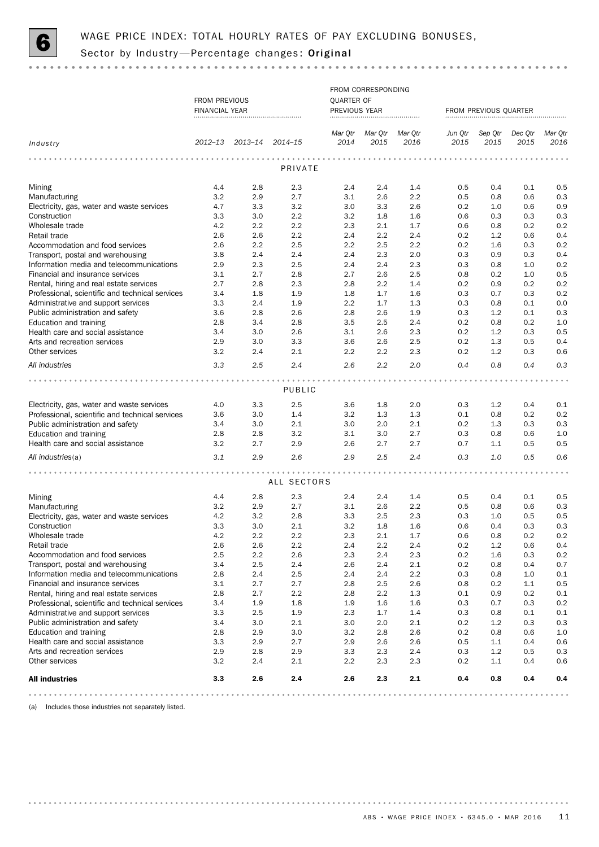

|                                                                              |                |                         |               |                  | FROM CORRESPONDING            |                       |                 |                 |                 |                 |
|------------------------------------------------------------------------------|----------------|-------------------------|---------------|------------------|-------------------------------|-----------------------|-----------------|-----------------|-----------------|-----------------|
|                                                                              | FROM PREVIOUS  |                         |               | QUARTER OF       |                               |                       |                 |                 |                 |                 |
|                                                                              | FINANCIAL YEAR |                         | PREVIOUS YEAR |                  |                               | FROM PREVIOUS QUARTER |                 |                 |                 |                 |
|                                                                              |                |                         |               |                  |                               |                       |                 |                 |                 |                 |
|                                                                              |                |                         |               |                  |                               |                       |                 |                 |                 |                 |
| Industry                                                                     |                | 2012-13 2013-14 2014-15 |               | Mar Qtr<br>2014  | Mar Qtr       Mar Qtr<br>2015 | 2016                  | Jun Qtr<br>2015 | Sep Qtr<br>2015 | Dec Qtr<br>2015 | Mar Qtr<br>2016 |
|                                                                              |                |                         |               |                  |                               |                       |                 |                 |                 |                 |
|                                                                              |                |                         | PRIVATE       |                  |                               |                       |                 |                 |                 |                 |
|                                                                              |                |                         |               |                  |                               |                       |                 |                 |                 |                 |
| Mining                                                                       | 4.4            | 2.8                     | 2.3           | 2.4              | 2.4                           | 1.4                   | 0.5             | 0.4             | 0.1             | 0.5             |
| Manufacturing                                                                | 3.2            | 2.9                     | 2.7           | 3.1              | 2.6                           | 2.2                   | 0.5             | 0.8             | 0.6             | 0.3             |
| Electricity, gas, water and waste services                                   | 4.7            | 3.3                     | 3.2           | 3.0              | 3.3                           | 2.6                   | 0.2             | 1.0             | 0.6             | 0.9             |
| Construction                                                                 | 3.3            | 3.0                     | 2.2           | 3.2              | 1.8                           | 1.6                   | 0.6             | 0.3             | 0.3             | 0.3             |
| Wholesale trade                                                              | 4.2            | 2.2                     | 2.2           | 2.3              | 2.1                           | 1.7                   | 0.6             | 0.8             | 0.2             | 0.2             |
| Retail trade                                                                 | 2.6            | 2.6                     | 2.2           | 2.4              | 2.2                           | 2.4                   | 0.2             | 1.2             | 0.6             | 0.4             |
| Accommodation and food services                                              | 2.6            | 2.2                     | 2.5           | 2.2              | 2.5                           | 2.2                   | 0.2             | 1.6             | 0.3             | 0.2             |
| Transport, postal and warehousing                                            | 3.8            | 2.4                     | 2.4           | 2.4              | 2.3                           | 2.0                   | 0.3             | 0.9             | 0.3             | 0.4             |
| Information media and telecommunications                                     | 2.9            | 2.3                     | 2.5           | 2.4              | 2.4                           | 2.3                   | 0.3             | 0.8             | 1.0             | 0.2             |
| Financial and insurance services                                             | 3.1            | 2.7                     | 2.8           | 2.7              | 2.6                           | 2.5                   | 0.8             | 0.2             | 1.0             | 0.5             |
| Rental, hiring and real estate services                                      | 2.7            | 2.8                     | 2.3           | 2.8              | 2.2                           | 1.4                   | 0.2             | 0.9             | 0.2             | 0.2             |
| Professional, scientific and technical services                              | 3.4            | 1.8                     | 1.9           | 1.8              | 1.7                           | 1.6                   | 0.3             | 0.7             | 0.3             | 0.2             |
| Administrative and support services                                          | 3.3            | 2.4                     | 1.9           | $2.2\phantom{0}$ | 1.7                           | 1.3                   | 0.3             | 0.8             | 0.1             | 0.0             |
| Public administration and safety                                             | 3.6            | 2.8                     | 2.6           | 2.8              | 2.6                           | 1.9                   | 0.3             | 1.2             | 0.1             | 0.3             |
| Education and training                                                       | 2.8            | 3.4                     | 2.8           | 3.5              | 2.5                           | 2.4                   | 0.2             | 0.8             | 0.2             | 1.0             |
| Health care and social assistance                                            | 3.4            | 3.0                     | 2.6           | 3.1              | 2.6                           | 2.3                   | 0.2             | 1.2             | 0.3             | 0.5             |
| Arts and recreation services                                                 | 2.9            | 3.0                     | 3.3           | 3.6              | 2.6                           | 2.5                   | 0.2             | 1.3             | 0.5             | 0.4             |
| Other services                                                               | 3.2            | 2.4                     | 2.1           | $2.2\phantom{0}$ | 2.2                           | 2.3                   | 0.2             | 1.2             | 0.3             | 0.6             |
| All industries                                                               | 3.3            | 2.5                     | 2.4           | 2.6              | 2.2                           | 2.0                   | 0.4             | 0.8             | 0.4             | 0.3             |
|                                                                              |                |                         |               |                  |                               |                       |                 |                 |                 |                 |
|                                                                              |                |                         | PUBLIC        |                  |                               |                       |                 |                 |                 |                 |
| Electricity, gas, water and waste services                                   | 4.0            | 3.3                     | 2.5           | 3.6              | 1.8                           | 2.0                   | 0.3             | 1.2             | 0.4             | 0.1             |
| Professional, scientific and technical services                              | 3.6            | 3.0                     | 1.4           | 3.2              | 1.3                           | 1.3                   | 0.1             | 0.8             | 0.2             | 0.2             |
| Public administration and safety                                             | 3.4            | 3.0                     | 2.1           | 3.0              | 2.0                           | 2.1                   | 0.2             | 1.3             | 0.3             | 0.3             |
| Education and training                                                       | 2.8            | 2.8                     | 3.2           | 3.1              | 3.0                           | 2.7                   | 0.3             | 0.8             | 0.6             | 1.0             |
| Health care and social assistance                                            | 3.2            | 2.7                     | 2.9           | 2.6              | 2.7                           | 2.7                   | 0.7             | 1.1             | 0.5             | 0.5             |
| All industries(a)                                                            | 3.1            | 2.9                     | 2.6           | 2.9              | 2.5                           | 2.4                   | 0.3             | 1.0             | 0.5             | 0.6             |
|                                                                              |                |                         |               |                  |                               |                       |                 |                 |                 |                 |
|                                                                              |                |                         | ALL SECTORS   |                  |                               |                       |                 |                 |                 |                 |
|                                                                              |                |                         |               |                  |                               |                       |                 |                 |                 |                 |
| Mining                                                                       | 4.4            | 2.8                     | 2.3           | 2.4              | 2.4                           | 1.4                   | 0.5             | 0.4             | 0.1             | 0.5             |
| Manufacturing                                                                | 3.2            | 2.9                     | 2.7           | 3.1              | 2.6                           | 2.2                   | 0.5             | 0.8             | 0.6             | 0.3             |
| Electricity, gas, water and waste services                                   | 4.2            | 3.2                     | 2.8           | 3.3              | 2.5                           | 2.3                   | 0.3             | 1.0             | 0.5             | 0.5             |
| Construction                                                                 | 3.3            | 3.0                     | 2.1           | 3.2              | 1.8                           | 1.6                   | 0.6             | 0.4             | 0.3             | 0.3             |
| Wholesale trade                                                              | 4.2            | 2.2                     | 2.2           | 2.3              | 2.1                           | 1.7                   | 0.6             | 0.8             | 0.2             | 0.2             |
| Retail trade<br>Accommodation and food services                              | 2.6<br>2.5     | 2.6<br>2.2              | 2.2<br>2.6    | 2.4              | 2.2<br>2.4                    | 2.4<br>2.3            | 0.2             | 1.2             | 0.6             | 0.4             |
| Transport, postal and warehousing                                            | 3.4            | 2.5                     | 2.4           | 2.3<br>2.6       | 2.4                           | 2.1                   | 0.2<br>0.2      | 1.6             | 0.3<br>0.4      | 0.2             |
|                                                                              |                |                         |               |                  |                               |                       |                 | 0.8             |                 | 0.7             |
| Information media and telecommunications<br>Financial and insurance services | 2.8<br>3.1     | 2.4<br>2.7              | 2.5<br>2.7    | 2.4<br>2.8       | 2.4<br>2.5                    | 2.2<br>2.6            | 0.3<br>0.8      | 0.8<br>0.2      | 1.0<br>1.1      | 0.1<br>0.5      |
| Rental, hiring and real estate services                                      | 2.8            | 2.7                     | 2.2           | 2.8              | 2.2                           | 1.3                   | 0.1             | 0.9             | 0.2             |                 |
| Professional, scientific and technical services                              | 3.4            | 1.9                     | 1.8           | 1.9              | 1.6                           | 1.6                   | 0.3             | 0.7             | 0.3             | 0.1             |
| Administrative and support services                                          | 3.3            | 2.5                     | 1.9           | 2.3              | 1.7                           | 1.4                   | 0.3             | 0.8             | 0.1             | 0.2<br>0.1      |
| Public administration and safety                                             | 3.4            | 3.0                     | 2.1           | 3.0              | 2.0                           | 2.1                   | 0.2             | 1.2             | 0.3             | 0.3             |
| Education and training                                                       | 2.8            | 2.9                     | 3.0           | 3.2              | 2.8                           | 2.6                   | 0.2             | 0.8             | 0.6             | 1.0             |
| Health care and social assistance                                            | 3.3            | 2.9                     | 2.7           | 2.9              | 2.6                           | 2.6                   | 0.5             | 1.1             | 0.4             | 0.6             |
| Arts and recreation services                                                 | 2.9            | 2.8                     | 2.9           | 3.3              | 2.3                           | 2.4                   | 0.3             | 1.2             | 0.5             | 0.3             |
| Other services                                                               | 3.2            | 2.4                     | 2.1           | 2.2              | 2.3                           | 2.3                   | 0.2             | 1.1             | 0.4             | 0.6             |
|                                                                              |                |                         |               |                  |                               |                       |                 |                 |                 |                 |
| <b>All industries</b>                                                        | 3.3            | 2.6                     | 2.4           | 2.6              | 2.3                           | 2.1                   | 0.4             | 0.8             | 0.4             | 0.4             |
|                                                                              |                |                         |               |                  |                               |                       |                 |                 |                 |                 |

(a) Includes those industries not separately listed.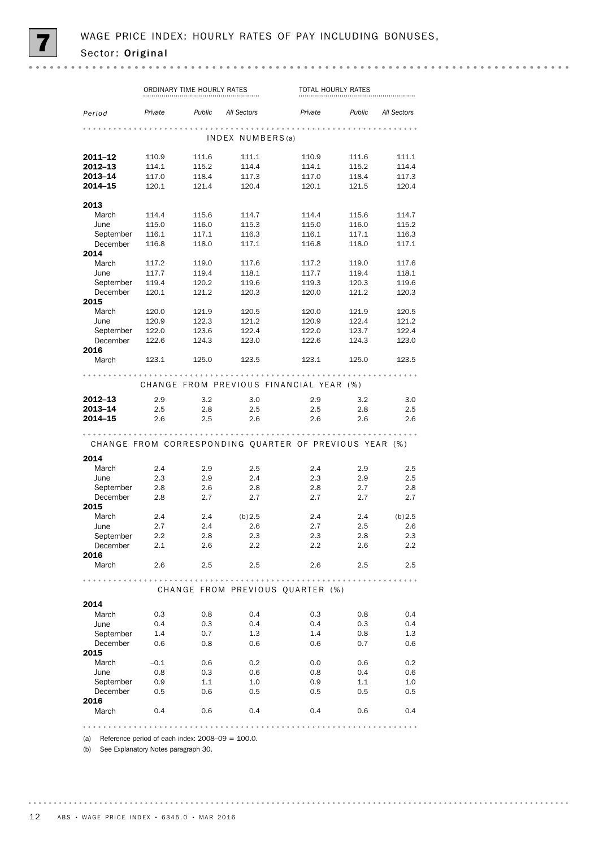|               | ORDINARY TIME HOURLY RATES |                           |                  | TOTAL HOURLY RATES                                     |       |                    |
|---------------|----------------------------|---------------------------|------------------|--------------------------------------------------------|-------|--------------------|
| Period        | Private                    | <b>Public</b> All Sectors |                  | Private                                                |       | Public All Sectors |
|               |                            |                           | INDEX NUMBERS(a) |                                                        |       |                    |
| 2011-12       | 110.9                      | 111.6                     | 111.1            | 110.9                                                  | 111.6 | 111.1              |
| 2012-13       | 114.1                      | 115.2                     | 114.4            | 114.1                                                  | 115.2 | 114.4              |
| 2013–14       | 117.0                      | 118.4                     | 117.3            | 117.0                                                  | 118.4 | 117.3              |
| 2014–15       | 120.1                      | 121.4                     | 120.4            | 120.1                                                  | 121.5 | 120.4              |
| 2013          |                            |                           |                  |                                                        |       |                    |
| March         | 114.4                      | 115.6                     | 114.7            | 114.4                                                  | 115.6 | 114.7              |
| June          | 115.0                      | 116.0                     | 115.3            | 115.0                                                  | 116.0 | 115.2              |
| September     | 116.1                      | 117.1                     | 116.3            | 116.1                                                  | 117.1 | 116.3              |
| December      | 116.8                      | 118.0                     | 117.1            | 116.8                                                  | 118.0 | 117.1              |
| 2014          |                            |                           |                  |                                                        |       |                    |
| March         | 117.2                      | 119.0                     | 117.6            | 117.2                                                  | 119.0 | 117.6              |
| June          | 117.7                      | 119.4                     | 118.1            | 117.7                                                  | 119.4 | 118.1              |
| September     | 119.4                      | 120.2                     | 119.6            | 119.3                                                  | 120.3 | 119.6              |
| December      |                            |                           |                  | 120.0                                                  |       |                    |
| 2015          | 120.1                      | 121.2                     | 120.3            |                                                        | 121.2 | 120.3              |
|               |                            |                           |                  |                                                        |       |                    |
| March         | 120.0                      | 121.9                     | 120.5            | 120.0                                                  | 121.9 | 120.5              |
| June          | 120.9                      | 122.3                     | 121.2            | 120.9                                                  | 122.4 | 121.2              |
| September     | 122.0                      | 123.6                     | 122.4            | 122.0                                                  | 123.7 | 122.4              |
| December      | 122.6                      | 124.3                     | 123.0            | 122.6                                                  | 124.3 | 123.0              |
| 2016<br>March | 123.1                      | 125.0                     | 123.5            | 123.1                                                  | 125.0 | 123.5              |
|               |                            |                           |                  |                                                        |       |                    |
|               |                            |                           |                  | CHANGE FROM PREVIOUS FINANCIAL YEAR (%)                |       |                    |
| 2012-13       | 2.9                        | 3.2                       | 3.0              | 2.9                                                    | 3.2   | 3.0                |
| 2013-14       | 2.5                        | 2.8                       | 2.5              | 2.5                                                    | 2.8   | 2.5                |
| 2014–15       | 2.6                        | 2.5                       | 2.6              | 2.6                                                    | 2.6   | 2.6                |
|               |                            |                           |                  |                                                        |       |                    |
|               |                            |                           |                  |                                                        |       |                    |
|               |                            |                           |                  | CHANGE FROM CORRESPONDING QUARTER OF PREVIOUS YEAR (%) |       |                    |
| 2014          |                            |                           |                  |                                                        |       |                    |
| March         | 2.4                        | 2.9                       | 2.5              | 2.4                                                    | 2.9   | 2.5                |
| June          | 2.3                        | 2.9                       | 2.4              | 2.3                                                    | 2.9   | 2.5                |
| September     | 2.8                        | 2.6                       | 2.8              | 2.8                                                    | 2.7   | 2.8                |
| December      | 2.8                        | 2.7                       | 2.7              | 2.7                                                    | 2.7   | 2.7                |
| 2015          |                            |                           |                  |                                                        |       |                    |
| March         | 2.4                        | 2.4                       | (b) 2.5          | 2.4                                                    | 2.4   |                    |
|               |                            |                           |                  |                                                        |       | (b) 2.5            |
| June          | 2.7                        | 2.4                       | 2.6              | 2.7                                                    | 2.5   | 2.6                |
| September     | 2.2                        | 2.8                       | 2.3              | 2.3                                                    | 2.8   | 2.3                |
| December      | 2.1                        | 2.6                       | 2.2              | $2.2\,$                                                | 2.6   | 2.2                |
| 2016<br>March | 2.6                        | 2.5                       | 2.5              | 2.6                                                    | 2.5   | 2.5                |
|               |                            |                           |                  |                                                        |       |                    |
|               |                            |                           |                  | CHANGE FROM PREVIOUS QUARTER (%)                       |       |                    |
| 2014          |                            |                           |                  |                                                        |       |                    |
| March         | 0.3                        | 0.8                       | 0.4              | 0.3                                                    | 0.8   | 0.4                |
|               |                            |                           |                  |                                                        |       |                    |
| June          | 0.4                        | 0.3                       | 0.4              | 0.4                                                    | 0.3   | 0.4                |
| September     | 1.4                        | 0.7                       | 1.3              | 1.4                                                    | 0.8   | 1.3                |
| December      | 0.6                        | 0.8                       | 0.6              | 0.6                                                    | 0.7   | 0.6                |
| 2015          |                            |                           |                  |                                                        |       |                    |
| March         | $-0.1$                     | 0.6                       | 0.2              | 0.0                                                    | 0.6   | 0.2                |
| June          | 0.8                        | 0.3                       | 0.6              | 0.8                                                    | 0.4   | 0.6                |
| September     | 0.9                        | 1.1                       | 1.0              | 0.9                                                    | 1.1   | 1.0                |
| December      | 0.5                        | 0.6                       | 0.5              | 0.5                                                    | 0.5   | 0.5                |
| 2016          |                            |                           |                  |                                                        |       |                    |
| March         | 0.4                        | 0.6                       | 0.4              | 0.4                                                    | 0.6   | 0.4                |
|               |                            |                           |                  |                                                        |       |                    |

(a) Reference period of each index:  $2008-09 = 100.0$ .

(b) See Explanatory Notes paragraph 30.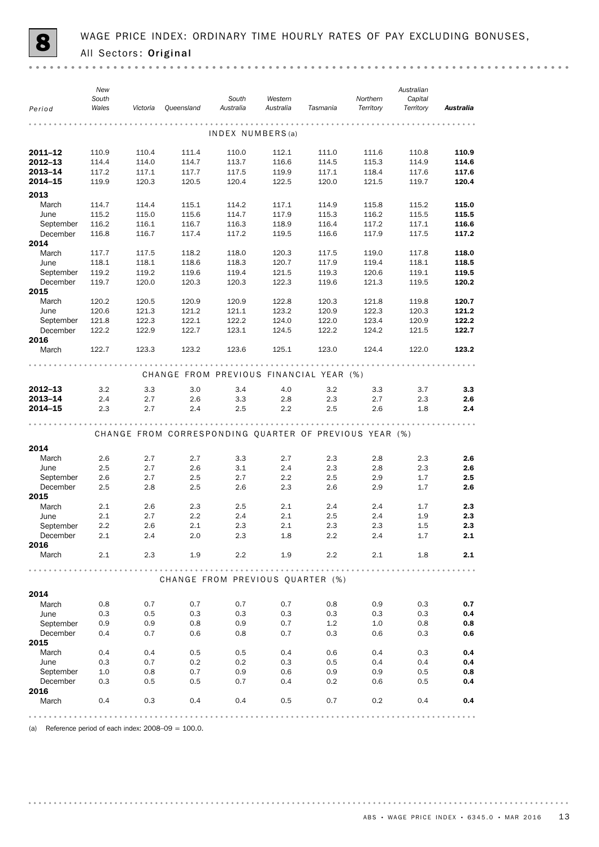|                       | New            |                |                |                  |                |                                                        |                | Australian     |                |
|-----------------------|----------------|----------------|----------------|------------------|----------------|--------------------------------------------------------|----------------|----------------|----------------|
|                       | South          |                |                | South            | Western        |                                                        | Northern       | Capital        |                |
| Period                | Wales          | Victoria       | Queensland     | Australia        | Australia      | Tasmania                                               | Territory      | Territory      | Australia      |
|                       |                |                |                |                  |                |                                                        |                |                |                |
|                       |                |                |                | INDEX NUMBERS(a) |                |                                                        |                |                |                |
| 2011-12               | 110.9          | 110.4          | 111.4          | 110.0            | 112.1          | 111.0                                                  | 111.6          | 110.8          | 110.9          |
| 2012-13               | 114.4          | 114.0          | 114.7          | 113.7            | 116.6          | 114.5                                                  | 115.3          | 114.9          | 114.6          |
| 2013-14               | 117.2          | 117.1          | 117.7          | 117.5            | 119.9          | 117.1                                                  | 118.4          | 117.6          | 117.6          |
| 2014-15               | 119.9          | 120.3          | 120.5          | 120.4            | 122.5          | 120.0                                                  | 121.5          | 119.7          | 120.4          |
| 2013                  |                |                |                |                  |                |                                                        |                |                |                |
| March                 | 114.7          | 114.4          | 115.1          | 114.2            | 117.1          | 114.9                                                  | 115.8          | 115.2          | 115.0          |
| June                  | 115.2          | 115.0          | 115.6          | 114.7            | 117.9          | 115.3                                                  | 116.2          | 115.5          | 115.5          |
| September             | 116.2          | 116.1          | 116.7          | 116.3            | 118.9          | 116.4                                                  | 117.2          | 117.1          | 116.6          |
| December              | 116.8          | 116.7          | 117.4          | 117.2            | 119.5          | 116.6                                                  | 117.9          | 117.5          | 117.2          |
| 2014                  |                |                |                |                  |                |                                                        |                |                |                |
| March                 | 117.7          | 117.5          | 118.2          | 118.0            | 120.3          | 117.5                                                  | 119.0          | 117.8          | 118.0          |
| June                  | 118.1          | 118.1          | 118.6          | 118.3            | 120.7          | 117.9                                                  | 119.4          | 118.1          | 118.5          |
| September             | 119.2          | 119.2          | 119.6          | 119.4            | 121.5          | 119.3                                                  | 120.6          | 119.1          | 119.5          |
| December              | 119.7          | 120.0          | 120.3          | 120.3            | 122.3          | 119.6                                                  | 121.3          | 119.5          | 120.2          |
| 2015                  |                |                |                |                  |                |                                                        |                |                |                |
| March                 | 120.2          | 120.5          | 120.9          | 120.9            | 122.8          | 120.3                                                  | 121.8          | 119.8          | 120.7          |
| June                  | 120.6          | 121.3          | 121.2          | 121.1            | 123.2<br>124.0 | 120.9                                                  | 122.3<br>123.4 | 120.3          | 121.2<br>122.2 |
| September<br>December | 121.8<br>122.2 | 122.3<br>122.9 | 122.1<br>122.7 | 122.2<br>123.1   | 124.5          | 122.0<br>122.2                                         | 124.2          | 120.9<br>121.5 | 122.7          |
| 2016                  |                |                |                |                  |                |                                                        |                |                |                |
| March                 | 122.7          | 123.3          | 123.2          | 123.6            | 125.1          | 123.0                                                  | 124.4          | 122.0          | 123.2          |
|                       |                |                |                |                  |                |                                                        |                |                |                |
|                       |                |                |                |                  |                | CHANGE FROM PREVIOUS FINANCIAL YEAR (%)                |                |                |                |
| 2012-13               | 3.2            | 3.3            | 3.0            | 3.4              | 4.0            | 3.2                                                    | 3.3            | 3.7            | 3.3            |
| $2013 - 14$           | 2.4            | 2.7            | 2.6            | 3.3              | 2.8            | 2.3                                                    | 2.7            | 2.3            | 2.6            |
| 2014-15               | 2.3            | 2.7            | 2.4            | 2.5              | 2.2            | 2.5                                                    | 2.6            | 1.8            | 2.4            |
|                       |                |                |                |                  |                |                                                        |                |                |                |
|                       |                |                |                |                  |                | CHANGE FROM CORRESPONDING QUARTER OF PREVIOUS YEAR (%) |                |                |                |
|                       |                |                |                |                  |                |                                                        |                |                |                |
| 2014                  |                |                |                |                  |                |                                                        |                |                |                |
| March                 | 2.6            | 2.7            | 2.7            | 3.3              | 2.7            | 2.3                                                    | 2.8            | 2.3            | 2.6            |
| June                  | 2.5            | 2.7            | 2.6            | 3.1              | 2.4            | 2.3                                                    | 2.8            | 2.3            | 2.6            |
| September             | 2.6            | 2.7            | 2.5            | 2.7              | 2.2            | 2.5                                                    | 2.9            | 1.7            | 2.5            |
| December              | 2.5            | 2.8            | 2.5            | 2.6              | 2.3            | 2.6                                                    | 2.9            | 1.7            | 2.6            |
| 2015<br>March         | 2.1            | 2.6            | 2.3            | 2.5              | 2.1            | 2.4                                                    | 2.4            | 1.7            | 2.3            |
| June                  | 2.1            | 2.7            | 2.2            | 2.4              | 2.1            | 2.5                                                    | 2.4            | 1.9            | 2.3            |
| September             | 2.2            | 2.6            | 2.1            | 2.3              | 2.1            | 2.3                                                    | 2.3            | 1.5            | 2.3            |
| December              | 2.1            | 2.4            | 2.0            | 2.3              | 1.8            | 2.2                                                    | 2.4            | 1.7            | 2.1            |
| 2016                  |                |                |                |                  |                |                                                        |                |                |                |
| March                 | 2.1            | 2.3            | 1.9            | $2.2\phantom{0}$ | 1.9            | 2.2                                                    | 2.1            | 1.8            | 2.1            |
|                       |                |                |                |                  |                |                                                        |                |                |                |
|                       |                |                |                |                  |                | CHANGE FROM PREVIOUS QUARTER (%)                       |                |                |                |
|                       |                |                |                |                  |                |                                                        |                |                |                |
| 2014                  |                |                |                |                  |                |                                                        |                |                |                |
| March                 | 0.8            | 0.7            | 0.7            | 0.7              | 0.7            | 0.8                                                    | 0.9            | 0.3            | 0.7            |
| June                  | 0.3            | 0.5            | 0.3            | 0.3              | 0.3            | 0.3                                                    | 0.3            | 0.3            | 0.4            |
| September             | 0.9            | 0.9            | 0.8            | 0.9              | 0.7            | $1.2\,$                                                | 1.0            | 0.8            | 0.8            |
| December              | 0.4            | 0.7            | 0.6            | 0.8              | 0.7            | 0.3                                                    | 0.6            | 0.3            | 0.6            |
| 2015                  |                |                |                |                  |                |                                                        |                |                |                |
| March<br>June         | 0.4<br>0.3     | 0.4<br>0.7     | 0.5<br>0.2     | 0.5<br>0.2       | 0.4<br>0.3     | 0.6<br>0.5                                             | 0.4<br>0.4     | 0.3<br>0.4     | 0.4<br>0.4     |
| September             | 1.0            | 0.8            | 0.7            | 0.9              | 0.6            | 0.9                                                    | 0.9            | 0.5            | 0.8            |
| December              | 0.3            | 0.5            | 0.5            | 0.7              | 0.4            | 0.2                                                    | 0.6            | 0.5            | 0.4            |
| 2016                  |                |                |                |                  |                |                                                        |                |                |                |
| March                 | 0.4            | 0.3            | 0.4            | 0.4              | 0.5            | 0.7                                                    | 0.2            | 0.4            | 0.4            |
|                       |                |                |                |                  |                |                                                        |                |                |                |
|                       |                |                |                |                  |                |                                                        |                |                |                |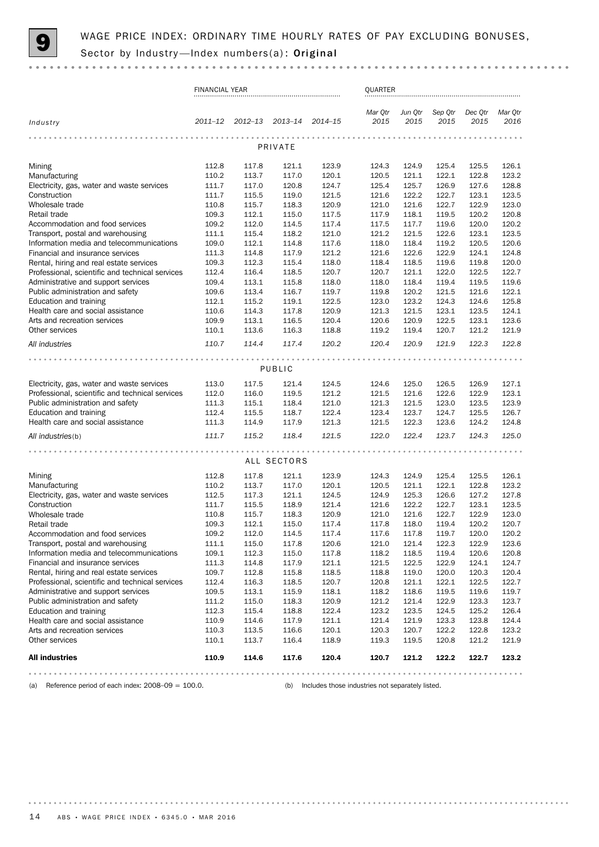

|                                                                   | <b>FINANCIAL YEAR</b> |                |                |                | QUARTER         |                 |                 |                 |                 |
|-------------------------------------------------------------------|-----------------------|----------------|----------------|----------------|-----------------|-----------------|-----------------|-----------------|-----------------|
| Industry                                                          | $2011 - 12$           | $2012 - 13$    | $2013 - 14$    | $2014 - 15$    | Mar Qtr<br>2015 | Jun Qtr<br>2015 | Sep Qtr<br>2015 | Dec Qtr<br>2015 | Mar Otr<br>2016 |
|                                                                   |                       |                |                |                |                 |                 |                 |                 |                 |
|                                                                   | PRIVATE               |                |                |                |                 |                 |                 |                 |                 |
| Mining                                                            | 112.8                 | 117.8          | 121.1          | 123.9          | 124.3           | 124.9           | 125.4           | 125.5           | 126.1           |
| Manufacturing                                                     | 110.2                 | 113.7          | 117.0          | 120.1          | 120.5           | 121.1           | 122.1           | 122.8           | 123.2           |
| Electricity, gas, water and waste services                        | 111.7                 | 117.0          | 120.8          | 124.7          | 125.4           | 125.7           | 126.9           | 127.6           | 128.8           |
| Construction                                                      | 111.7                 | 115.5          | 119.0          | 121.5          | 121.6           | 122.2           | 122.7           | 123.1           | 123.5           |
| Wholesale trade<br>Retail trade                                   | 110.8<br>109.3        | 115.7<br>112.1 | 118.3<br>115.0 | 120.9<br>117.5 | 121.0<br>117.9  | 121.6<br>118.1  | 122.7<br>119.5  | 122.9<br>120.2  | 123.0<br>120.8  |
| Accommodation and food services                                   | 109.2                 | 112.0          | 114.5          | 117.4          | 117.5           | 117.7           | 119.6           | 120.0           | 120.2           |
| Transport, postal and warehousing                                 | 111.1                 | 115.4          | 118.2          | 121.0          | 121.2           | 121.5           | 122.6           | 123.1           | 123.5           |
| Information media and telecommunications                          | 109.0                 | 112.1          | 114.8          | 117.6          | 118.0           | 118.4           | 119.2           | 120.5           | 120.6           |
| Financial and insurance services                                  | 111.3                 | 114.8          | 117.9          | 121.2          | 121.6           | 122.6           | 122.9           | 124.1           | 124.8           |
| Rental, hiring and real estate services                           | 109.3                 | 112.3          | 115.4          | 118.0          | 118.4           | 118.5           | 119.6           | 119.8           | 120.0           |
| Professional, scientific and technical services                   | 112.4                 | 116.4          | 118.5          | 120.7          | 120.7           | 121.1           | 122.0           | 122.5           | 122.7           |
| Administrative and support services                               | 109.4                 | 113.1          | 115.8          | 118.0          | 118.0           | 118.4           | 119.4           | 119.5           | 119.6           |
| Public administration and safety                                  | 109.6                 | 113.4          | 116.7          | 119.7          | 119.8           | 120.2           | 121.5           | 121.6           | 122.1           |
| Education and training                                            | 112.1                 | 115.2          | 119.1          | 122.5          | 123.0           | 123.2           | 124.3           | 124.6           | 125.8           |
| Health care and social assistance                                 | 110.6                 | 114.3          | 117.8          | 120.9          | 121.3           | 121.5           | 123.1           | 123.5           | 124.1           |
| Arts and recreation services                                      | 109.9                 | 113.1          | 116.5          | 120.4          | 120.6           | 120.9           | 122.5           | 123.1           | 123.6           |
| Other services                                                    | 110.1                 | 113.6          | 116.3          | 118.8          | 119.2           | 119.4           | 120.7           | 121.2           | 121.9           |
| All industries                                                    | 110.7                 | 114.4          | 117.4          | 120.2          | 120.4           | 120.9           | 121.9           | 122.3           | 122.8           |
|                                                                   |                       |                |                |                |                 |                 |                 |                 |                 |
|                                                                   |                       |                | PUBLIC         |                |                 |                 |                 |                 |                 |
| Electricity, gas, water and waste services                        | 113.0                 | 117.5          | 121.4          | 124.5          | 124.6           | 125.0           | 126.5           | 126.9           | 127.1           |
| Professional, scientific and technical services                   | 112.0                 | 116.0          | 119.5          | 121.2          | 121.5           | 121.6           | 122.6           | 122.9           | 123.1           |
| Public administration and safety                                  | 111.3                 | 115.1          | 118.4          | 121.0          | 121.3           | 121.5           | 123.0           | 123.5           | 123.9           |
| Education and training                                            | 112.4                 | 115.5          | 118.7          | 122.4          | 123.4           | 123.7           | 124.7           | 125.5           | 126.7           |
| Health care and social assistance                                 | 111.3                 | 114.9          | 117.9          | 121.3          | 121.5           | 122.3           | 123.6           | 124.2           | 124.8           |
| All industries(b)                                                 | 111.7                 | 115.2          | 118.4          | 121.5          | 122.0           | 122.4           | 123.7           | 124.3           | 125.0           |
|                                                                   |                       |                | ALL SECTORS    |                |                 |                 |                 |                 |                 |
|                                                                   |                       |                |                |                |                 |                 |                 |                 |                 |
| Mining<br>Manufacturing                                           | 112.8<br>110.2        | 117.8<br>113.7 | 121.1<br>117.0 | 123.9<br>120.1 | 124.3<br>120.5  | 124.9<br>121.1  | 125.4<br>122.1  | 125.5<br>122.8  | 126.1<br>123.2  |
| Electricity, gas, water and waste services                        | 112.5                 | 117.3          | 121.1          | 124.5          | 124.9           | 125.3           | 126.6           | 127.2           | 127.8           |
| Construction                                                      | 111.7                 | 115.5          | 118.9          | 121.4          | 121.6           | 122.2           | 122.7           | 123.1           | 123.5           |
| Wholesale trade                                                   | 110.8                 | 115.7          | 118.3          | 120.9          | 121.0           | 121.6           | 122.7           | 122.9           | 123.0           |
| Retail trade                                                      | 109.3                 | 112.1          | 115.0          | 117.4          | 117.8           | 118.0           | 119.4           | 120.2           | 120.7           |
| Accommodation and food services                                   | 109.2                 | 112.0          | 114.5          | 117.4          | 117.6           | 117.8           | 119.7           | 120.0           | 120.2           |
| Transport, postal and warehousing                                 | 111.1                 | 115.0          | 117.8          | 120.6          | 121.0           | 121.4           | 122.3           | 122.9           | 123.6           |
| Information media and telecommunications                          | 109.1                 | 112.3          | 115.0          | 117.8          | 118.2           | 118.5           | 119.4           | 120.6           | 120.8           |
| Financial and insurance services                                  | 111.3                 | 114.8          | 117.9          | 121.1          | 121.5           | 122.5           | 122.9           | 124.1           | 124.7           |
| Rental, hiring and real estate services                           | 109.7                 | 112.8          | 115.8          | 118.5          | 118.8           | 119.0           | 120.0           | 120.3           | 120.4           |
| Professional, scientific and technical services                   | 112.4                 | 116.3          | 118.5          | 120.7          | 120.8           | 121.1           | 122.1           | 122.5           | 122.7           |
| Administrative and support services                               | 109.5                 | 113.1          | 115.9          | 118.1          | 118.2           | 118.6           | 119.5           | 119.6           | 119.7           |
| Public administration and safety                                  | 111.2                 | 115.0          | 118.3          | 120.9          | 121.2           | 121.4           | 122.9           | 123.3           | 123.7           |
| Education and training                                            | 112.3                 | 115.4          | 118.8          | 122.4          | 123.2           | 123.5           | 124.5           | 125.2           | 126.4           |
| Health care and social assistance<br>Arts and recreation services | 110.9<br>110.3        | 114.6<br>113.5 | 117.9<br>116.6 | 121.1<br>120.1 | 121.4<br>120.3  | 121.9<br>120.7  | 123.3<br>122.2  | 123.8<br>122.8  | 124.4<br>123.2  |
| Other services                                                    | 110.1                 | 113.7          | 116.4          | 118.9          | 119.3           | 119.5           | 120.8           | 121.2           | 121.9           |
| <b>All industries</b>                                             | 110.9                 | 114.6          | 117.6          | 120.4          | 120.7           | 121.2           | 122.2           | 122.7           | 123.2           |
|                                                                   |                       |                |                |                |                 |                 |                 |                 |                 |
|                                                                   |                       |                |                |                |                 |                 |                 |                 |                 |

(a) Reference period of each index: 2008–09 = 100.0. (b) Includes those industries not separately listed.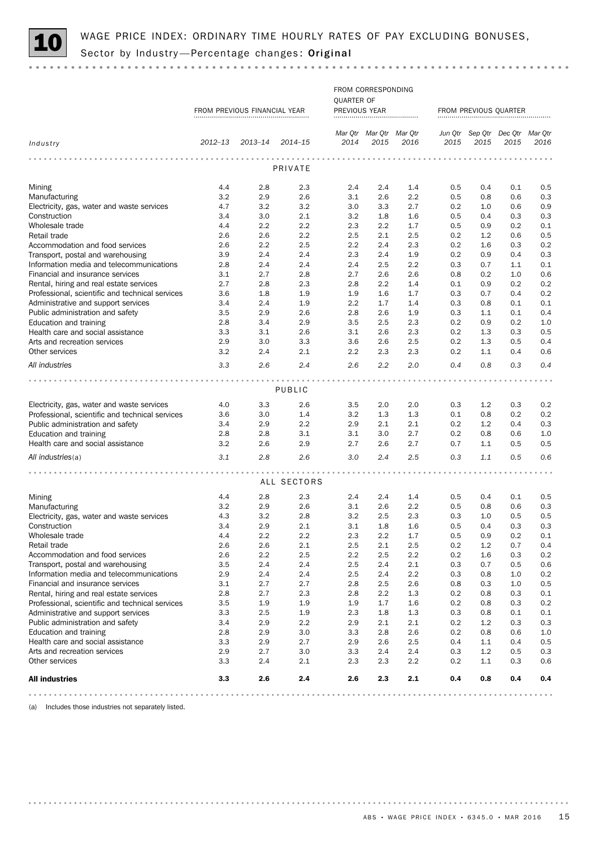

# WAGE PRICE INDEX: ORDINARY TIME HOURLY RATES OF PAY EXCLUDING BONUSES,<br>Sector by Industry—Percentage changes: **Original**

FROM CORRESPONDING QUARTER OF FROM PREVIOUS FINANCIAL YEAR PREVIOUS YEAR FROM PREVIOUS QUARTER *Mar Qtr Mar Qtr Mar Qtr Mar Qtr Dec Qtr Sep Qtr Jun Qtr 2012–13 2013–14 2014–15 2014 2015 2016 2015 2016 Industry 2015 2015* PRIVATE Mining 4.4 2.8 2.3 2.4 2.4 1.4 0.5 0.4 0.1 0.5 Manufacturing 3.2 2.9 2.6 3.1 2.6 2.2 0.5 0.8 0.6 0.3 Electricity, gas, water and waste services 4.7 3.2 3.2 3.0 3.3 2.7 0.2 1.0 0.6 0.9 Construction 3.4 3.0 2.1 3.2 1.8 1.6 0.5 0.4 0.3 0.3 Wholesale trade 4.4 2.2 2.2 2.3 2.2 1.7 0.5 0.9 0.2 0.1 Retail trade 2.6 2.6 2.2 2.5 2.1 2.5 0.2 1.2 0.6 0.5 Accommodation and food services 2.6 2.2 2.5 2.2 2.4 2.3 0.2 1.6 0.3 0.2 Transport, postal and warehousing 3.9 2.4 2.4 2.3 2.4 1.9 0.2 0.9 0.4 0.3 Information media and telecommunications 2.8 2.4 2.4 2.4 2.5 2.2 0.3 0.7 1.1 0.1 Financial and insurance services 3.1 2.7 2.8 2.7 2.6 2.6 0.8 0.2 1.0 0.6 Rental, hiring and real estate services 2.7 2.8 2.3 2.8 2.2 1.4 0.1 0.9 0.2 0.2 Professional, scientific and technical services 3.6 1.8 1.9 1.9 1.6 1.7 0.3 0.7 0.4 0.2 Administrative and support services 3.4 2.4 1.9 2.2 1.7 1.4 0.3 0.8 0.1 0.1 Public administration and safety 3.5 2.9 2.6 2.8 2.6 1.9 0.3 1.1 0.1 0.4 Education and training 2.8 3.4 2.9 3.5 2.5 2.3 0.2 0.9 0.2 1.0 Health care and social assistance  $\begin{array}{cccc} 3.3 & 3.1 & 2.6 & 3.1 & 2.6 & 2.3 & 0.2 & 1.3 & 0.3 & 0.5 \end{array}$ Arts and recreation services 2.9 3.0 3.3 3.6 2.6 2.5 0.2 1.3 0.5 0.4 Other services 3.2 2.4 2.1 2.2 2.3 2.3 0.2 1.1 0.4 0.6 *All industries 3.3 2.6 2.4 2.6 2.2 2.0 0.4 0.8 0.3 0.4* PUBLIC Electricity, gas, water and waste services 4.0 3.3 2.6 3.5 2.0 2.0 0.3 1.2 0.3 0.2 Professional, scientific and technical services 3.6 3.0 1.4 3.2 1.3 1.3 0.1 0.8 0.2 0.2 Public administration and safety 3.4 2.9 2.2 2.9 2.1 2.1 0.2 1.2 0.4 0.3 Education and training 2.8 2.8 3.1 3.1 3.0 2.7 0.2 0.8 0.6 1.0 Health care and social assistance 3.2 2.6 2.9 2.7 2.6 2.7 0.7 1.1 0.5 0.5 *All industries*(a) *3.1 2.8 2.6 3.0 2.4 2.5 0.3 1.1 0.5 0.6* ALL SECTORS Mining 4.4 2.8 2.3 2.4 2.4 1.4 0.5 0.4 0.1 0.5 Manufacturing 3.2 2.9 2.6 3.1 2.6 2.2 0.5 0.8 0.6 0.3 Electricity, gas, water and waste services  $\begin{array}{cccccccc} 4.3 & 3.2 & 2.8 & 3.2 & 2.5 & 2.3 & 0.3 & 1.0 & 0.5 & 0.5 \\ \text{Construction} & & & & & & 3.4 & 2.9 & 2.1 & 3.1 & 1.8 & 1.6 & 0.5 & 0.4 & 0.3 & 0.3 \end{array}$ Construction 3.4 2.9 2.1 3.1 1.8 1.6 0.5 0.4 0.3 0.3 Wholesale trade 4.4 2.2 2.2 2.3 2.2 1.7 0.5 0.9 0.2 0.1 Retail trade 2.6 2.6 2.1 2.5 2.1 2.5 0.2 1.2 0.7 0.4 Accommodation and food services 2.6 2.2 2.5 2.2 2.5 2.2 0.2 1.6 0.3 0.2 Transport, postal and warehousing 3.5 2.4 2.4 2.5 2.4 2.1 0.3 0.7 0.5 0.6 Information media and telecommunications 2.9 2.4 2.4 2.5 2.4 2.2 0.3 0.8 1.0 0.2 Financial and insurance services 3.1 2.7 2.7 2.8 2.5 2.6 0.8 0.3 1.0 0.5 Rental, hiring and real estate services 2.8 2.7 2.3 2.8 2.2 1.3 0.2 0.8 0.3 0.1 Professional, scientific and technical services 3.5 1.9 1.9 1.9 1.7 1.6 0.2 0.8 0.3 0.2 Administrative and support services **3.3** 2.5 1.9 2.3 1.8 1.3 0.3 0.8 0.1 0.1 Public administration and safety 3.4 2.9 2.2 2.9 2.1 2.1 0.2 1.2 0.3 0.3 Education and training 2.8 2.9 3.0 3.3 2.8 2.6 0.2 0.8 0.6 1.0 Health care and social assistance 3.3 2.9 2.7 2.9 2.6 2.5 0.4 1.1 0.4 0.5 Arts and recreation services 2.9 2.7 3.0 3.3 2.4 2.4 0.3 1.2 0.5 0.3 Other services 3.3 2.4 2.1 2.3 2.3 2.2 0.2 1.1 0.3 0.6 All industries 3.3 2.6 2.4 2.6 2.3 2.1 0.4 0.8 0.4 0.4 

(a) Includes those industries not separately listed.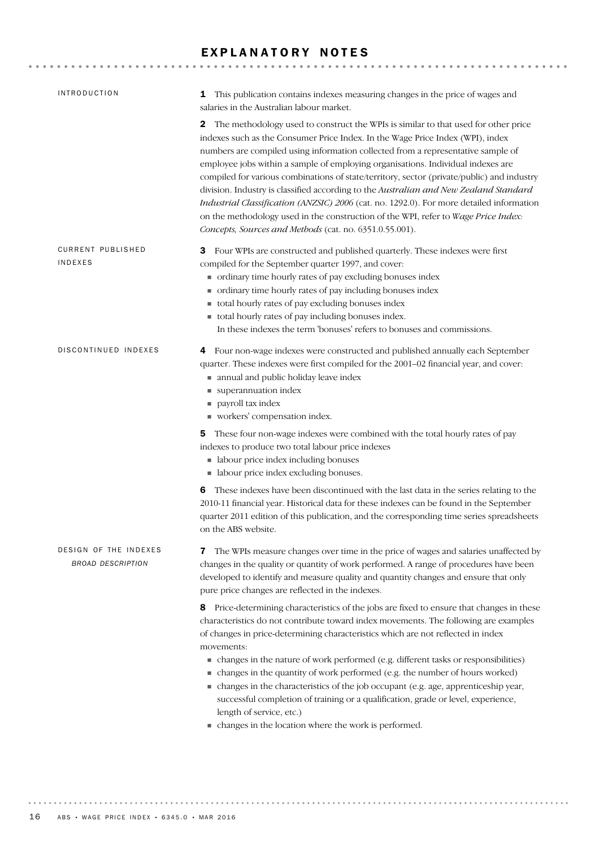## EXPLANATORY NOTES

| <b>INTRODUCTION</b>                               | 1 This publication contains indexes measuring changes in the price of wages and<br>salaries in the Australian labour market.                                                                                                                                                                                                                                                                                                                                                                                                                                                                                                                                                                                                                                                                     |
|---------------------------------------------------|--------------------------------------------------------------------------------------------------------------------------------------------------------------------------------------------------------------------------------------------------------------------------------------------------------------------------------------------------------------------------------------------------------------------------------------------------------------------------------------------------------------------------------------------------------------------------------------------------------------------------------------------------------------------------------------------------------------------------------------------------------------------------------------------------|
|                                                   | The methodology used to construct the WPIs is similar to that used for other price<br>$\mathbf{2}$<br>indexes such as the Consumer Price Index. In the Wage Price Index (WPI), index<br>numbers are compiled using information collected from a representative sample of<br>employee jobs within a sample of employing organisations. Individual indexes are<br>compiled for various combinations of state/territory, sector (private/public) and industry<br>division. Industry is classified according to the Australian and New Zealand Standard<br>Industrial Classification (ANZSIC) 2006 (cat. no. 1292.0). For more detailed information<br>on the methodology used in the construction of the WPI, refer to Wage Price Index:<br>Concepts, Sources and Methods (cat. no. 6351.0.55.001). |
| <b>CURRENT PUBLISHED</b>                          | 3 Four WPIs are constructed and published quarterly. These indexes were first                                                                                                                                                                                                                                                                                                                                                                                                                                                                                                                                                                                                                                                                                                                    |
| <b>INDEXES</b>                                    | compiled for the September quarter 1997, and cover:                                                                                                                                                                                                                                                                                                                                                                                                                                                                                                                                                                                                                                                                                                                                              |
|                                                   | • ordinary time hourly rates of pay excluding bonuses index                                                                                                                                                                                                                                                                                                                                                                                                                                                                                                                                                                                                                                                                                                                                      |
|                                                   | • ordinary time hourly rates of pay including bonuses index                                                                                                                                                                                                                                                                                                                                                                                                                                                                                                                                                                                                                                                                                                                                      |
|                                                   | total hourly rates of pay excluding bonuses index                                                                                                                                                                                                                                                                                                                                                                                                                                                                                                                                                                                                                                                                                                                                                |
|                                                   | total hourly rates of pay including bonuses index.                                                                                                                                                                                                                                                                                                                                                                                                                                                                                                                                                                                                                                                                                                                                               |
|                                                   | In these indexes the term 'bonuses' refers to bonuses and commissions.                                                                                                                                                                                                                                                                                                                                                                                                                                                                                                                                                                                                                                                                                                                           |
| DISCONTINUED INDEXES                              | 4 Four non-wage indexes were constructed and published annually each September<br>quarter. These indexes were first compiled for the 2001-02 financial year, and cover:<br>annual and public holiday leave index<br>superannuation index<br>payroll tax index<br>workers' compensation index.                                                                                                                                                                                                                                                                                                                                                                                                                                                                                                    |
|                                                   | <b>5</b> These four non-wage indexes were combined with the total hourly rates of pay<br>indexes to produce two total labour price indexes<br>• labour price index including bonuses<br>• labour price index excluding bonuses.                                                                                                                                                                                                                                                                                                                                                                                                                                                                                                                                                                  |
|                                                   | These indexes have been discontinued with the last data in the series relating to the<br>6<br>2010-11 financial year. Historical data for these indexes can be found in the September<br>quarter 2011 edition of this publication, and the corresponding time series spreadsheets<br>on the ABS website.                                                                                                                                                                                                                                                                                                                                                                                                                                                                                         |
| DESIGN OF THE INDEXES<br><b>BROAD DESCRIPTION</b> | The WPIs measure changes over time in the price of wages and salaries unaffected by<br>7<br>changes in the quality or quantity of work performed. A range of procedures have been<br>developed to identify and measure quality and quantity changes and ensure that only<br>pure price changes are reflected in the indexes.                                                                                                                                                                                                                                                                                                                                                                                                                                                                     |
|                                                   | 8 Price-determining characteristics of the jobs are fixed to ensure that changes in these<br>characteristics do not contribute toward index movements. The following are examples<br>of changes in price-determining characteristics which are not reflected in index<br>movements:<br>• changes in the nature of work performed (e.g. different tasks or responsibilities)<br>• changes in the quantity of work performed (e.g. the number of hours worked)<br>• changes in the characteristics of the job occupant (e.g. age, apprenticeship year,<br>successful completion of training or a qualification, grade or level, experience,<br>length of service, etc.)                                                                                                                            |
|                                                   | • changes in the location where the work is performed.                                                                                                                                                                                                                                                                                                                                                                                                                                                                                                                                                                                                                                                                                                                                           |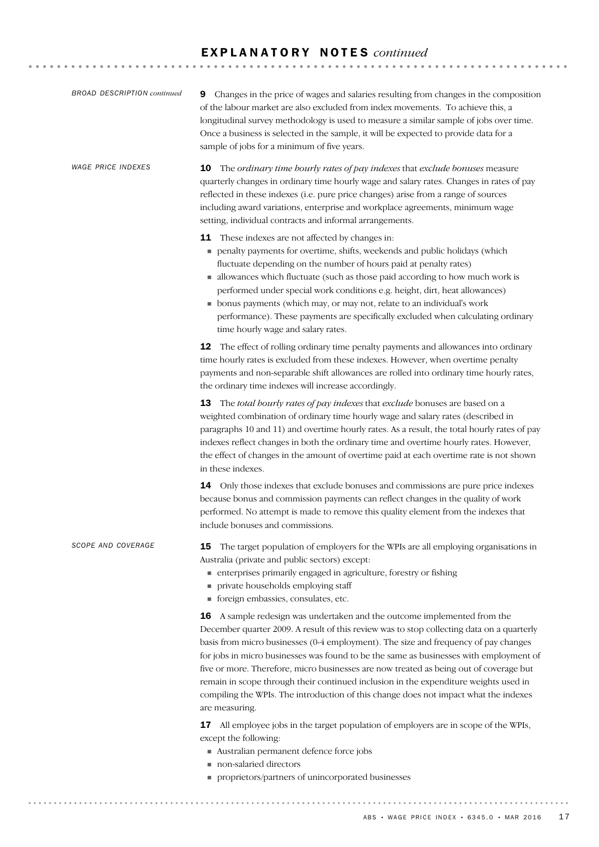| <b>BROAD DESCRIPTION continued</b> | Changes in the price of wages and salaries resulting from changes in the composition<br>9<br>of the labour market are also excluded from index movements. To achieve this, a<br>longitudinal survey methodology is used to measure a similar sample of jobs over time.<br>Once a business is selected in the sample, it will be expected to provide data for a<br>sample of jobs for a minimum of five years.                                                                                                                                                                                                                                         |
|------------------------------------|-------------------------------------------------------------------------------------------------------------------------------------------------------------------------------------------------------------------------------------------------------------------------------------------------------------------------------------------------------------------------------------------------------------------------------------------------------------------------------------------------------------------------------------------------------------------------------------------------------------------------------------------------------|
| <b>WAGE PRICE INDEXES</b>          | <b>10</b> The ordinary time bourly rates of pay indexes that exclude bonuses measure<br>quarterly changes in ordinary time hourly wage and salary rates. Changes in rates of pay<br>reflected in these indexes (i.e. pure price changes) arise from a range of sources<br>including award variations, enterprise and workplace agreements, minimum wage<br>setting, individual contracts and informal arrangements.                                                                                                                                                                                                                                   |
|                                    | 11 These indexes are not affected by changes in:<br>penalty payments for overtime, shifts, weekends and public holidays (which<br>fluctuate depending on the number of hours paid at penalty rates)<br>allowances which fluctuate (such as those paid according to how much work is<br>performed under special work conditions e.g. height, dirt, heat allowances)<br>• bonus payments (which may, or may not, relate to an individual's work<br>performance). These payments are specifically excluded when calculating ordinary<br>time hourly wage and salary rates.                                                                               |
|                                    | 12 The effect of rolling ordinary time penalty payments and allowances into ordinary<br>time hourly rates is excluded from these indexes. However, when overtime penalty<br>payments and non-separable shift allowances are rolled into ordinary time hourly rates,<br>the ordinary time indexes will increase accordingly.                                                                                                                                                                                                                                                                                                                           |
|                                    | 13 The total bourly rates of pay indexes that exclude bonuses are based on a<br>weighted combination of ordinary time hourly wage and salary rates (described in<br>paragraphs 10 and 11) and overtime hourly rates. As a result, the total hourly rates of pay<br>indexes reflect changes in both the ordinary time and overtime hourly rates. However,<br>the effect of changes in the amount of overtime paid at each overtime rate is not shown<br>in these indexes.                                                                                                                                                                              |
|                                    | Only those indexes that exclude bonuses and commissions are pure price indexes<br>14<br>because bonus and commission payments can reflect changes in the quality of work<br>performed. No attempt is made to remove this quality element from the indexes that<br>include bonuses and commissions.                                                                                                                                                                                                                                                                                                                                                    |
| SCOPE AND COVERAGE                 | 15<br>The target population of employers for the WPIs are all employing organisations in<br>Australia (private and public sectors) except:<br>numerises primarily engaged in agriculture, forestry or fishing<br>private households employing staff<br>g,<br>foreign embassies, consulates, etc.                                                                                                                                                                                                                                                                                                                                                      |
|                                    | A sample redesign was undertaken and the outcome implemented from the<br>16<br>December quarter 2009. A result of this review was to stop collecting data on a quarterly<br>basis from micro businesses (0-4 employment). The size and frequency of pay changes<br>for jobs in micro businesses was found to be the same as businesses with employment of<br>five or more. Therefore, micro businesses are now treated as being out of coverage but<br>remain in scope through their continued inclusion in the expenditure weights used in<br>compiling the WPIs. The introduction of this change does not impact what the indexes<br>are measuring. |
|                                    | All employee jobs in the target population of employers are in scope of the WPIs,<br>17<br>except the following:<br>Australian permanent defence force jobs<br>non-salaried directors<br>proprietors/partners of unincorporated businesses                                                                                                                                                                                                                                                                                                                                                                                                            |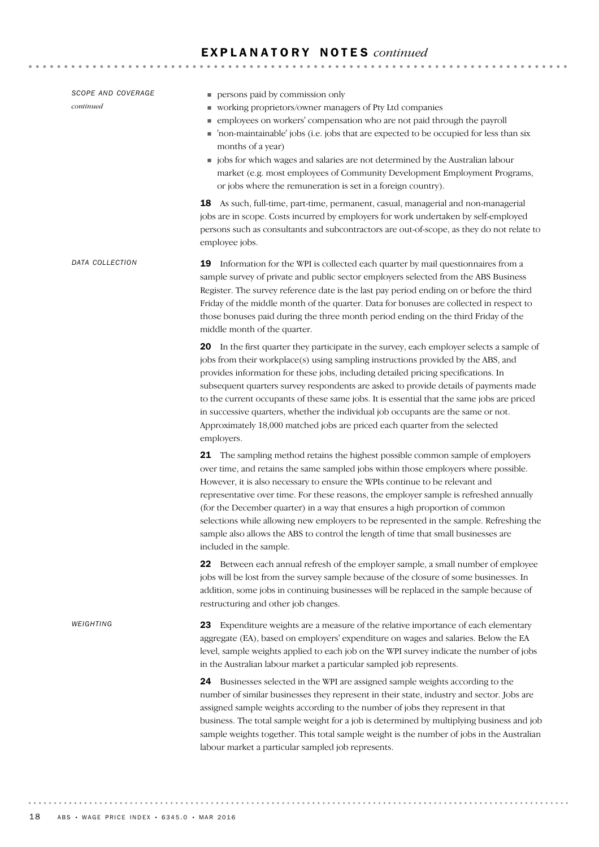| SCOPE AND COVERAGE<br>continued | persons paid by commission only<br>vorking proprietors/owner managers of Pty Ltd companies<br>· employees on workers' compensation who are not paid through the payroll<br>non-maintainable' jobs (i.e. jobs that are expected to be occupied for less than six<br>months of a year)<br>jobs for which wages and salaries are not determined by the Australian labour<br>market (e.g. most employees of Community Development Employment Programs,<br>or jobs where the remuneration is set in a foreign country).<br><b>18</b> As such, full-time, part-time, permanent, casual, managerial and non-managerial<br>jobs are in scope. Costs incurred by employers for work undertaken by self-employed<br>persons such as consultants and subcontractors are out-of-scope, as they do not relate to |
|---------------------------------|-----------------------------------------------------------------------------------------------------------------------------------------------------------------------------------------------------------------------------------------------------------------------------------------------------------------------------------------------------------------------------------------------------------------------------------------------------------------------------------------------------------------------------------------------------------------------------------------------------------------------------------------------------------------------------------------------------------------------------------------------------------------------------------------------------|
| DATA COLLECTION                 | employee jobs.<br>Information for the WPI is collected each quarter by mail questionnaires from a<br>19<br>sample survey of private and public sector employers selected from the ABS Business<br>Register. The survey reference date is the last pay period ending on or before the third<br>Friday of the middle month of the quarter. Data for bonuses are collected in respect to<br>those bonuses paid during the three month period ending on the third Friday of the<br>middle month of the quarter.                                                                                                                                                                                                                                                                                         |
|                                 | 20 In the first quarter they participate in the survey, each employer selects a sample of<br>jobs from their workplace(s) using sampling instructions provided by the ABS, and<br>provides information for these jobs, including detailed pricing specifications. In<br>subsequent quarters survey respondents are asked to provide details of payments made<br>to the current occupants of these same jobs. It is essential that the same jobs are priced<br>in successive quarters, whether the individual job occupants are the same or not.<br>Approximately 18,000 matched jobs are priced each quarter from the selected<br>employers.                                                                                                                                                        |
|                                 | 21 The sampling method retains the highest possible common sample of employers<br>over time, and retains the same sampled jobs within those employers where possible.<br>However, it is also necessary to ensure the WPIs continue to be relevant and<br>representative over time. For these reasons, the employer sample is refreshed annually<br>(for the December quarter) in a way that ensures a high proportion of common<br>selections while allowing new employers to be represented in the sample. Refreshing the<br>sample also allows the ABS to control the length of time that small businesses are<br>included in the sample.                                                                                                                                                         |
|                                 | 22 Between each annual refresh of the employer sample, a small number of employee<br>jobs will be lost from the survey sample because of the closure of some businesses. In<br>addition, some jobs in continuing businesses will be replaced in the sample because of<br>restructuring and other job changes.                                                                                                                                                                                                                                                                                                                                                                                                                                                                                       |
| WEIGHTING                       | Expenditure weights are a measure of the relative importance of each elementary<br>23<br>aggregate (EA), based on employers' expenditure on wages and salaries. Below the EA<br>level, sample weights applied to each job on the WPI survey indicate the number of jobs<br>in the Australian labour market a particular sampled job represents.<br>Businesses selected in the WPI are assigned sample weights according to the<br>24<br>number of similar businesses they represent in their state, industry and sector. Jobs are                                                                                                                                                                                                                                                                   |
|                                 | assigned sample weights according to the number of jobs they represent in that<br>business. The total sample weight for a job is determined by multiplying business and job<br>sample weights together. This total sample weight is the number of jobs in the Australian<br>labour market a particular sampled job represents.                                                                                                                                                                                                                                                                                                                                                                                                                                                                      |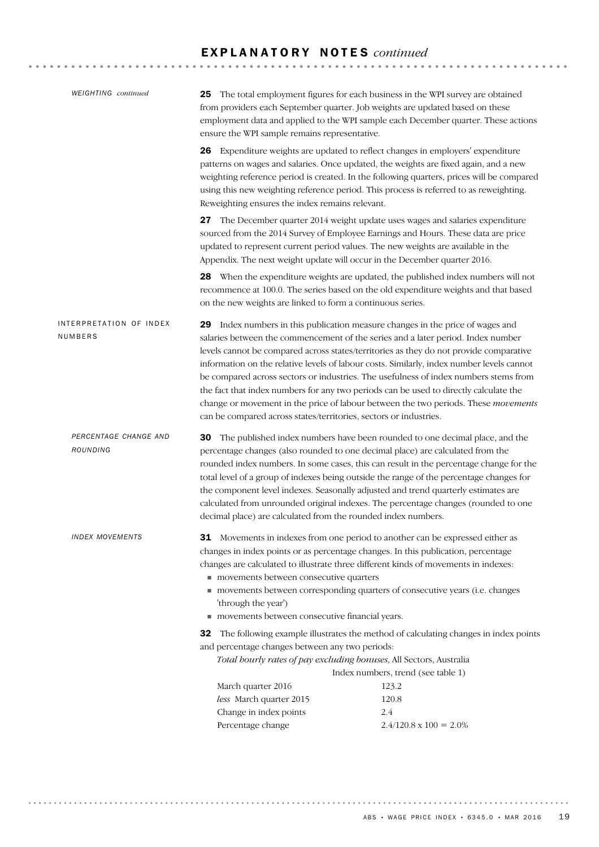| <b>WEIGHTING</b> continued         | The total employment figures for each business in the WPI survey are obtained<br>25<br>from providers each September quarter. Job weights are updated based on these<br>employment data and applied to the WPI sample each December quarter. These actions<br>ensure the WPI sample remains representative. |                                                                                                                                                                                                                                                                                                                                                                                                                                                                                                                                                                                                                                  |  |  |  |  |
|------------------------------------|-------------------------------------------------------------------------------------------------------------------------------------------------------------------------------------------------------------------------------------------------------------------------------------------------------------|----------------------------------------------------------------------------------------------------------------------------------------------------------------------------------------------------------------------------------------------------------------------------------------------------------------------------------------------------------------------------------------------------------------------------------------------------------------------------------------------------------------------------------------------------------------------------------------------------------------------------------|--|--|--|--|
|                                    | 26<br>Reweighting ensures the index remains relevant.                                                                                                                                                                                                                                                       | Expenditure weights are updated to reflect changes in employers' expenditure<br>patterns on wages and salaries. Once updated, the weights are fixed again, and a new<br>weighting reference period is created. In the following quarters, prices will be compared<br>using this new weighting reference period. This process is referred to as reweighting.                                                                                                                                                                                                                                                                      |  |  |  |  |
|                                    | Appendix. The next weight update will occur in the December quarter 2016.                                                                                                                                                                                                                                   | 27 The December quarter 2014 weight update uses wages and salaries expenditure<br>sourced from the 2014 Survey of Employee Earnings and Hours. These data are price<br>updated to represent current period values. The new weights are available in the                                                                                                                                                                                                                                                                                                                                                                          |  |  |  |  |
|                                    | on the new weights are linked to form a continuous series.                                                                                                                                                                                                                                                  | 28 When the expenditure weights are updated, the published index numbers will not<br>recommence at 100.0. The series based on the old expenditure weights and that based                                                                                                                                                                                                                                                                                                                                                                                                                                                         |  |  |  |  |
| INTERPRETATION OF INDEX<br>NUMBERS | can be compared across states/territories, sectors or industries.                                                                                                                                                                                                                                           | 29 Index numbers in this publication measure changes in the price of wages and<br>salaries between the commencement of the series and a later period. Index number<br>levels cannot be compared across states/territories as they do not provide comparative<br>information on the relative levels of labour costs. Similarly, index number levels cannot<br>be compared across sectors or industries. The usefulness of index numbers stems from<br>the fact that index numbers for any two periods can be used to directly calculate the<br>change or movement in the price of labour between the two periods. These movements |  |  |  |  |
| PERCENTAGE CHANGE AND<br>ROUNDING  | 30<br>decimal place) are calculated from the rounded index numbers.                                                                                                                                                                                                                                         | The published index numbers have been rounded to one decimal place, and the<br>percentage changes (also rounded to one decimal place) are calculated from the<br>rounded index numbers. In some cases, this can result in the percentage change for the<br>total level of a group of indexes being outside the range of the percentage changes for<br>the component level indexes. Seasonally adjusted and trend quarterly estimates are<br>calculated from unrounded original indexes. The percentage changes (rounded to one                                                                                                   |  |  |  |  |
| INDEX MOVEMENTS                    | movements between consecutive quarters<br>'through the year')<br>movements between consecutive financial years.                                                                                                                                                                                             | 31 Movements in indexes from one period to another can be expressed either as<br>changes in index points or as percentage changes. In this publication, percentage<br>changes are calculated to illustrate three different kinds of movements in indexes:<br>movements between corresponding quarters of consecutive years (i.e. changes                                                                                                                                                                                                                                                                                         |  |  |  |  |
|                                    | The following example illustrates the method of calculating changes in index points<br>32<br>and percentage changes between any two periods:<br>Total hourly rates of pay excluding bonuses, All Sectors, Australia<br>Index numbers, trend (see table 1)                                                   |                                                                                                                                                                                                                                                                                                                                                                                                                                                                                                                                                                                                                                  |  |  |  |  |
|                                    | March quarter 2016                                                                                                                                                                                                                                                                                          | 123.2                                                                                                                                                                                                                                                                                                                                                                                                                                                                                                                                                                                                                            |  |  |  |  |
|                                    | less March quarter 2015                                                                                                                                                                                                                                                                                     | 120.8                                                                                                                                                                                                                                                                                                                                                                                                                                                                                                                                                                                                                            |  |  |  |  |
|                                    | Change in index points                                                                                                                                                                                                                                                                                      | 2.4                                                                                                                                                                                                                                                                                                                                                                                                                                                                                                                                                                                                                              |  |  |  |  |
|                                    | Percentage change                                                                                                                                                                                                                                                                                           | $2.4/120.8 \times 100 = 2.0\%$                                                                                                                                                                                                                                                                                                                                                                                                                                                                                                                                                                                                   |  |  |  |  |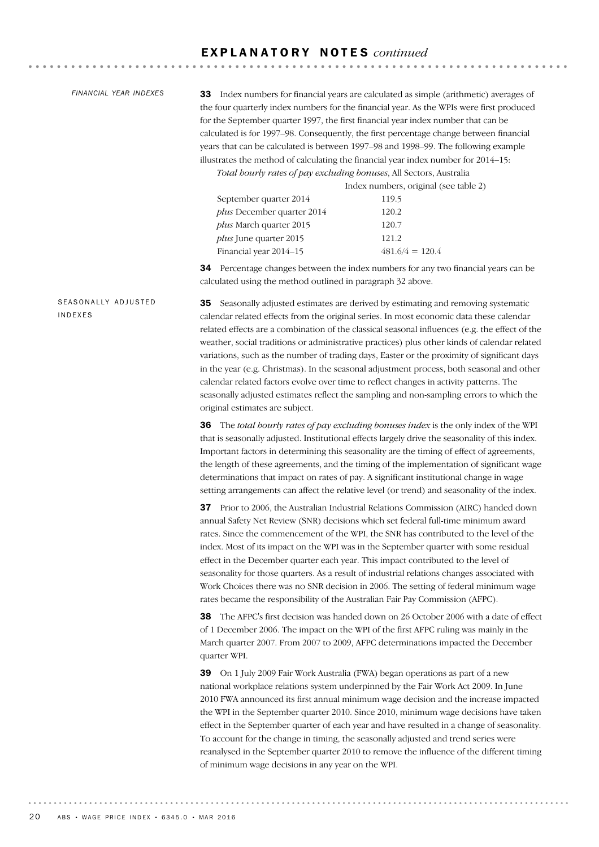#### *FINANCIAL YEAR INDEXES*

33 Index numbers for financial years are calculated as simple (arithmetic) averages of the four quarterly index numbers for the financial year. As the WPIs were first produced for the September quarter 1997, the first financial year index number that can be calculated is for 1997–98. Consequently, the first percentage change between financial years that can be calculated is between 1997–98 and 1998–99. The following example illustrates the method of calculating the financial year index number for 2014–15:

**\*\*\*\*\*\*\*\*\*\*\*\*\*\*\*\*\***\*

*Total hourly rates of pay excluding bonuses*, All Sectors, Australia

Index numbers, original (see table 2)

| September quarter 2014            | 119.5             |
|-----------------------------------|-------------------|
| <i>plus</i> December quarter 2014 | 120.2             |
| <i>plus</i> March quarter 2015    | 120.7             |
| <i>plus</i> June quarter 2015     | 121.2             |
| Financial year 2014–15            | $481.6/4 = 120.4$ |
|                                   |                   |

34 Percentage changes between the index numbers for any two financial years can be calculated using the method outlined in paragraph 32 above.

35 Seasonally adjusted estimates are derived by estimating and removing systematic calendar related effects from the original series. In most economic data these calendar related effects are a combination of the classical seasonal influences (e.g. the effect of the weather, social traditions or administrative practices) plus other kinds of calendar related variations, such as the number of trading days, Easter or the proximity of significant days in the year (e.g. Christmas). In the seasonal adjustment process, both seasonal and other calendar related factors evolve over time to reflect changes in activity patterns. The seasonally adjusted estimates reflect the sampling and non-sampling errors to which the original estimates are subject.

> 36 The *total hourly rates of pay excluding bonuses index* is the only index of the WPI that is seasonally adjusted. Institutional effects largely drive the seasonality of this index. Important factors in determining this seasonality are the timing of effect of agreements, the length of these agreements, and the timing of the implementation of significant wage determinations that impact on rates of pay. A significant institutional change in wage setting arrangements can affect the relative level (or trend) and seasonality of the index.

37 Prior to 2006, the Australian Industrial Relations Commission (AIRC) handed down annual Safety Net Review (SNR) decisions which set federal full-time minimum award rates. Since the commencement of the WPI, the SNR has contributed to the level of the index. Most of its impact on the WPI was in the September quarter with some residual effect in the December quarter each year. This impact contributed to the level of seasonality for those quarters. As a result of industrial relations changes associated with Work Choices there was no SNR decision in 2006. The setting of federal minimum wage rates became the responsibility of the Australian Fair Pay Commission (AFPC).

38 The AFPC's first decision was handed down on 26 October 2006 with a date of effect of 1 December 2006. The impact on the WPI of the first AFPC ruling was mainly in the March quarter 2007. From 2007 to 2009, AFPC determinations impacted the December quarter WPI.

39 On 1 July 2009 Fair Work Australia (FWA) began operations as part of a new national workplace relations system underpinned by the Fair Work Act 2009. In June 2010 FWA announced its first annual minimum wage decision and the increase impacted the WPI in the September quarter 2010. Since 2010, minimum wage decisions have taken effect in the September quarter of each year and have resulted in a change of seasonality. To account for the change in timing, the seasonally adjusted and trend series were reanalysed in the September quarter 2010 to remove the influence of the different timing of minimum wage decisions in any year on the WPI.

### SEASONALLY ADJUSTED INDEXES

20 ABS • WAGE PRICE INDEX • 6345.0 • MAR 2016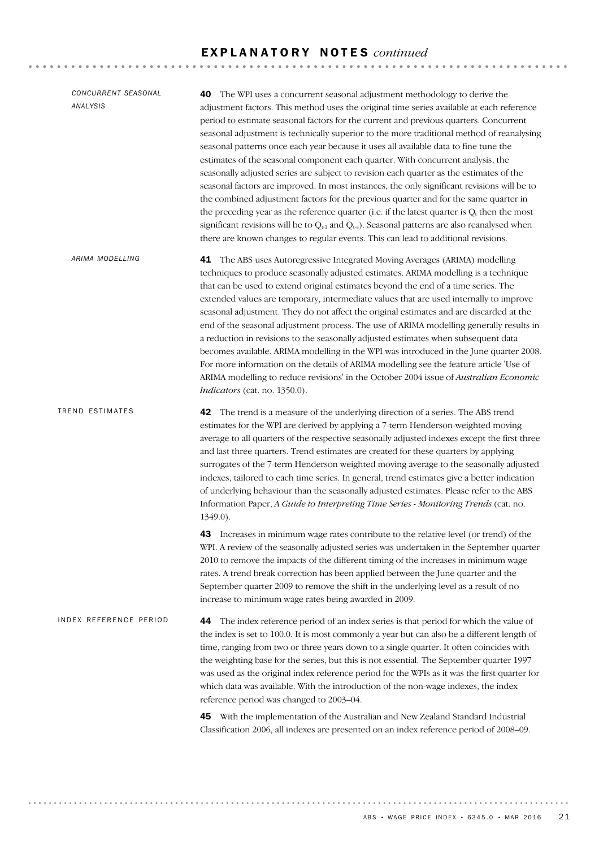| CONCURRENT SEASONAL<br>ANALYSIS | <b>40</b> The WPI uses a concurrent seasonal adjustment methodology to derive the<br>adjustment factors. This method uses the original time series available at each reference<br>period to estimate seasonal factors for the current and previous quarters. Concurrent<br>seasonal adjustment is technically superior to the more traditional method of reanalysing<br>seasonal patterns once each year because it uses all available data to fine tune the<br>estimates of the seasonal component each quarter. With concurrent analysis, the<br>seasonally adjusted series are subject to revision each quarter as the estimates of the<br>seasonal factors are improved. In most instances, the only significant revisions will be to<br>the combined adjustment factors for the previous quarter and for the same quarter in<br>the preceding year as the reference quarter (i.e. if the latest quarter is $Q_t$ then the most<br>significant revisions will be to $Q_{t-1}$ and $Q_{t-1}$ ). Seasonal patterns are also reanalysed when<br>there are known changes to regular events. This can lead to additional revisions. |
|---------------------------------|------------------------------------------------------------------------------------------------------------------------------------------------------------------------------------------------------------------------------------------------------------------------------------------------------------------------------------------------------------------------------------------------------------------------------------------------------------------------------------------------------------------------------------------------------------------------------------------------------------------------------------------------------------------------------------------------------------------------------------------------------------------------------------------------------------------------------------------------------------------------------------------------------------------------------------------------------------------------------------------------------------------------------------------------------------------------------------------------------------------------------------|
| ARIMA MODELLING                 | <b>41</b> The ABS uses Autoregressive Integrated Moving Averages (ARIMA) modelling<br>techniques to produce seasonally adjusted estimates. ARIMA modelling is a technique<br>that can be used to extend original estimates beyond the end of a time series. The<br>extended values are temporary, intermediate values that are used internally to improve<br>seasonal adjustment. They do not affect the original estimates and are discarded at the<br>end of the seasonal adjustment process. The use of ARIMA modelling generally results in<br>a reduction in revisions to the seasonally adjusted estimates when subsequent data<br>becomes available. ARIMA modelling in the WPI was introduced in the June quarter 2008.<br>For more information on the details of ARIMA modelling see the feature article 'Use of<br>ARIMA modelling to reduce revisions' in the October 2004 issue of Australian Economic<br>Indicators (cat. no. 1350.0).                                                                                                                                                                                |
| TREND ESTIMATES                 | 42 The trend is a measure of the underlying direction of a series. The ABS trend<br>estimates for the WPI are derived by applying a 7-term Henderson-weighted moving<br>average to all quarters of the respective seasonally adjusted indexes except the first three<br>and last three quarters. Trend estimates are created for these quarters by applying<br>surrogates of the 7-term Henderson weighted moving average to the seasonally adjusted<br>indexes, tailored to each time series. In general, trend estimates give a better indication<br>of underlying behaviour than the seasonally adjusted estimates. Please refer to the ABS<br>Information Paper, A Guide to Interpreting Time Series - Monitoring Trends (cat. no.<br>1349.0).                                                                                                                                                                                                                                                                                                                                                                                 |
|                                 | <b>43</b> Increases in minimum wage rates contribute to the relative level (or trend) of the<br>WPI. A review of the seasonally adjusted series was undertaken in the September quarter<br>2010 to remove the impacts of the different timing of the increases in minimum wage<br>rates. A trend break correction has been applied between the June quarter and the<br>September quarter 2009 to remove the shift in the underlying level as a result of no<br>increase to minimum wage rates being awarded in 2009.                                                                                                                                                                                                                                                                                                                                                                                                                                                                                                                                                                                                               |
| INDEX REFERENCE PERIOD          | 44 The index reference period of an index series is that period for which the value of<br>the index is set to 100.0. It is most commonly a year but can also be a different length of<br>time, ranging from two or three years down to a single quarter. It often coincides with<br>the weighting base for the series, but this is not essential. The September quarter 1997<br>was used as the original index reference period for the WPIs as it was the first quarter for<br>which data was available. With the introduction of the non-wage indexes, the index<br>reference period was changed to 2003-04.                                                                                                                                                                                                                                                                                                                                                                                                                                                                                                                     |
|                                 | 45 With the implementation of the Australian and New Zealand Standard Industrial<br>Classification 2006, all indexes are presented on an index reference period of 2008-09.                                                                                                                                                                                                                                                                                                                                                                                                                                                                                                                                                                                                                                                                                                                                                                                                                                                                                                                                                        |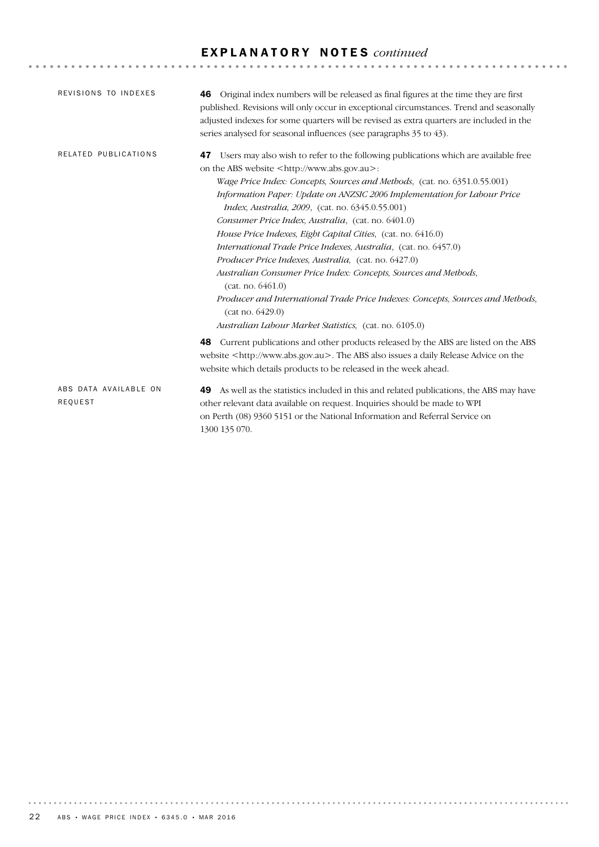| REVISIONS TO INDEXES             | <b>46</b> Original index numbers will be released as final figures at the time they are first<br>published. Revisions will only occur in exceptional circumstances. Trend and seasonally<br>adjusted indexes for some quarters will be revised as extra quarters are included in the<br>series analysed for seasonal influences (see paragraphs 35 to 43).                                                                                                                                                                                                                                                                                                                                                                                                                                                                                                                                                                                                                                         |
|----------------------------------|----------------------------------------------------------------------------------------------------------------------------------------------------------------------------------------------------------------------------------------------------------------------------------------------------------------------------------------------------------------------------------------------------------------------------------------------------------------------------------------------------------------------------------------------------------------------------------------------------------------------------------------------------------------------------------------------------------------------------------------------------------------------------------------------------------------------------------------------------------------------------------------------------------------------------------------------------------------------------------------------------|
| RELATED PUBLICATIONS             | Users may also wish to refer to the following publications which are available free<br>47<br>on the ABS website <http: www.abs.gov.au="">:<br/>Wage Price Index: Concepts, Sources and Methods, (cat. no. 6351.0.55.001)<br/>Information Paper: Update on ANZSIC 2006 Implementation for Labour Price<br/><i>Index, Australia, 2009, (cat. no. 6345.0.55.001)</i><br/>Consumer Price Index, Australia, (cat. no. 6401.0)<br/>House Price Indexes, Eight Capital Cities, (cat. no. 6416.0)<br/>International Trade Price Indexes, Australia, (cat. no. 6457.0)<br/><i>Producer Price Indexes, Australia, (cat. no. 6427.0)</i><br/>Australian Consumer Price Index: Concepts, Sources and Methods,<br/>(cat. no. 6461.0)<br/>Producer and International Trade Price Indexes: Concepts, Sources and Methods,<br/>(cat no. 6429.0)<br/>Australian Labour Market Statistics, (cat. no. 6105.0)<br/><b>48</b> Current publications and other products released by the ABS are listed on the ABS</http:> |
|                                  | website <http: www.abs.gov.au="">. The ABS also issues a daily Release Advice on the<br/>website which details products to be released in the week ahead.</http:>                                                                                                                                                                                                                                                                                                                                                                                                                                                                                                                                                                                                                                                                                                                                                                                                                                  |
| ABS DATA AVAILABLE ON<br>REQUEST | 49 As well as the statistics included in this and related publications, the ABS may have<br>other relevant data available on request. Inquiries should be made to WPI<br>on Perth (08) 9360 5151 or the National Information and Referral Service on<br>1300 135 070.                                                                                                                                                                                                                                                                                                                                                                                                                                                                                                                                                                                                                                                                                                                              |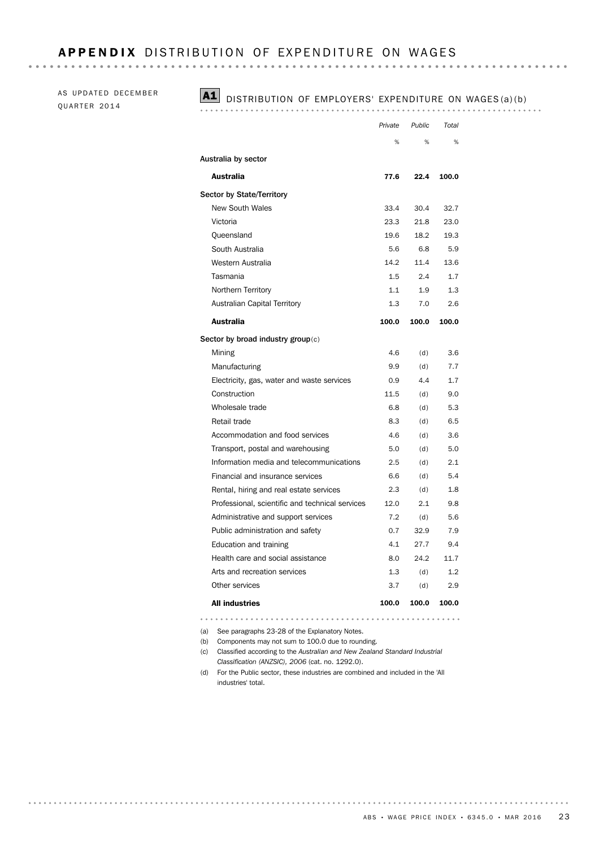AS UPDATED DECEMBER QUARTER 2014

### A1 DISTRIBUTION OF EMPLOYERS' EXPENDITURE ON WAGES (a)(b)

|                                                 | Private | Public | Total |
|-------------------------------------------------|---------|--------|-------|
|                                                 | %       | %      | %     |
| Australia by sector                             |         |        |       |
| Australia                                       | 77.6    | 22.4   | 100.0 |
| <b>Sector by State/Territory</b>                |         |        |       |
| <b>New South Wales</b>                          | 33.4    | 30.4   | 32.7  |
| Victoria                                        | 23.3    | 21.8   | 23.0  |
| Queensland                                      | 19.6    | 18.2   | 19.3  |
| South Australia                                 | 5.6     | 6.8    | 5.9   |
| Western Australia                               | 14.2    | 11.4   | 13.6  |
| Tasmania                                        | 1.5     | 2.4    | 1.7   |
| Northern Territory                              | 1.1     | 1.9    | 1.3   |
| Australian Capital Territory                    | 1.3     | 7.0    | 2.6   |
| Australia                                       | 100.0   | 100.0  | 100.0 |
| Sector by broad industry group(c)               |         |        |       |
| Mining                                          | 4.6     | (d)    | 3.6   |
| Manufacturing                                   | 9.9     | (d)    | 7.7   |
| Electricity, gas, water and waste services      | 0.9     | 4.4    | 1.7   |
| Construction                                    | 11.5    | (d)    | 9.0   |
| Wholesale trade                                 | 6.8     | (d)    | 5.3   |
| Retail trade                                    | 8.3     | (d)    | 6.5   |
| Accommodation and food services                 | 4.6     | (d)    | 3.6   |
| Transport, postal and warehousing               | 5.0     | (d)    | 5.0   |
| Information media and telecommunications        | 2.5     | (d)    | 2.1   |
| Financial and insurance services                | 6.6     | (d)    | 5.4   |
| Rental, hiring and real estate services         | 2.3     | (d)    | 1.8   |
| Professional, scientific and technical services | 12.0    | 2.1    | 9.8   |
| Administrative and support services             | 7.2     | (d)    | 5.6   |
| Public administration and safety                | 0.7     | 32.9   | 7.9   |
| Education and training                          | 4.1     | 27.7   | 9.4   |
| Health care and social assistance               | 8.0     | 24.2   | 11.7  |
| Arts and recreation services                    | 1.3     | (d)    | 1.2   |
| Other services                                  | 3.7     | (d)    | 2.9   |
| <b>All industries</b>                           | 100.0   | 100.0  | 100.0 |

(a) See paragraphs 23-28 of the Explanatory Notes.

(b) Components may not sum to 100.0 due to rounding.

(c) Classified according to the *Australian and New Zealand Standard Industrial Classification (ANZSIC), 2006* (cat. no. 1292.0).

(d) For the Public sector, these industries are combined and included in the 'All industries' total.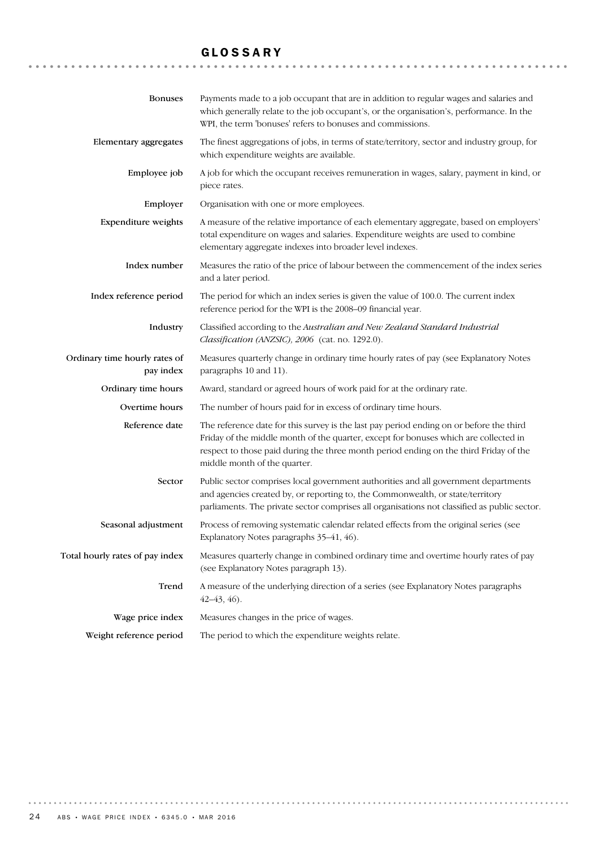# GLOSSARY

| <b>Bonuses</b>                             | Payments made to a job occupant that are in addition to regular wages and salaries and<br>which generally relate to the job occupant's, or the organisation's, performance. In the<br>WPI, the term 'bonuses' refers to bonuses and commissions.                                                         |
|--------------------------------------------|----------------------------------------------------------------------------------------------------------------------------------------------------------------------------------------------------------------------------------------------------------------------------------------------------------|
| Elementary aggregates                      | The finest aggregations of jobs, in terms of state/territory, sector and industry group, for<br>which expenditure weights are available.                                                                                                                                                                 |
| Employee job                               | A job for which the occupant receives remuneration in wages, salary, payment in kind, or<br>piece rates.                                                                                                                                                                                                 |
| Employer                                   | Organisation with one or more employees.                                                                                                                                                                                                                                                                 |
| <b>Expenditure</b> weights                 | A measure of the relative importance of each elementary aggregate, based on employers'<br>total expenditure on wages and salaries. Expenditure weights are used to combine<br>elementary aggregate indexes into broader level indexes.                                                                   |
| Index number                               | Measures the ratio of the price of labour between the commencement of the index series<br>and a later period.                                                                                                                                                                                            |
| Index reference period                     | The period for which an index series is given the value of 100.0. The current index<br>reference period for the WPI is the 2008-09 financial year.                                                                                                                                                       |
| Industry                                   | Classified according to the Australian and New Zealand Standard Industrial<br>Classification (ANZSIC), 2006 (cat. no. 1292.0).                                                                                                                                                                           |
| Ordinary time hourly rates of<br>pay index | Measures quarterly change in ordinary time hourly rates of pay (see Explanatory Notes<br>paragraphs 10 and 11).                                                                                                                                                                                          |
| Ordinary time hours                        | Award, standard or agreed hours of work paid for at the ordinary rate.                                                                                                                                                                                                                                   |
| Overtime hours                             | The number of hours paid for in excess of ordinary time hours.                                                                                                                                                                                                                                           |
| Reference date                             | The reference date for this survey is the last pay period ending on or before the third<br>Friday of the middle month of the quarter, except for bonuses which are collected in<br>respect to those paid during the three month period ending on the third Friday of the<br>middle month of the quarter. |
| Sector                                     | Public sector comprises local government authorities and all government departments<br>and agencies created by, or reporting to, the Commonwealth, or state/territory<br>parliaments. The private sector comprises all organisations not classified as public sector.                                    |
| Seasonal adjustment                        | Process of removing systematic calendar related effects from the original series (see<br>Explanatory Notes paragraphs 35-41, 46).                                                                                                                                                                        |
| Total hourly rates of pay index            | Measures quarterly change in combined ordinary time and overtime hourly rates of pay<br>(see Explanatory Notes paragraph 13).                                                                                                                                                                            |
| Trend                                      | A measure of the underlying direction of a series (see Explanatory Notes paragraphs<br>$42 - 43, 46$ .                                                                                                                                                                                                   |
| Wage price index                           | Measures changes in the price of wages.                                                                                                                                                                                                                                                                  |
| Weight reference period                    | The period to which the expenditure weights relate.                                                                                                                                                                                                                                                      |